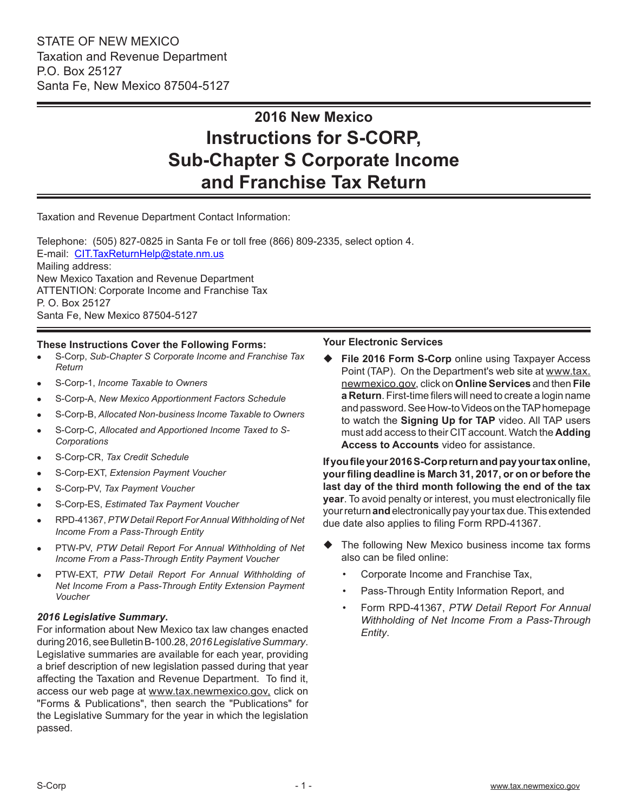# **2016 New Mexico Instructions for S-CORP, Sub-Chapter S Corporate Income and Franchise Tax Return**

Taxation and Revenue Department Contact Information:

Telephone: (505) 827-0825 in Santa Fe or toll free (866) 809-2335, select option 4. E-mail: CIT.TaxReturnHelp@state.nm.us Mailing address: New Mexico Taxation and Revenue Department ATTENTION: Corporate Income and Franchise Tax P. O. Box 25127 Santa Fe, New Mexico 87504-5127

#### **These Instructions Cover the Following Forms:**

- <sup>l</sup> S-Corp, *Sub-Chapter S Corporate Income and Franchise Tax Return*
- <sup>l</sup> S-Corp-1, *Income Taxable to Owners*
- <sup>l</sup> S-Corp-A, *New Mexico Apportionment Factors Schedule*
- <sup>l</sup> S-Corp-B, *Allocated Non-business Income Taxable to Owners*
- S-Corp-C, Allocated and Apportioned Income Taxed to S-*Corporations*
- <sup>l</sup> S-Corp-CR, *Tax Credit Schedule*
- <sup>l</sup> S-Corp-EXT, *Extension Payment Voucher*
- <sup>l</sup> S-Corp-PV, *Tax Payment Voucher*
- <sup>l</sup> S-Corp-ES, *Estimated Tax Payment Voucher*
- <sup>l</sup> RPD-41367, *PTW Detail Report For Annual Withholding of Net Income From a Pass-Through Entity*
- <sup>l</sup> PTW-PV, *PTW Detail Report For Annual Withholding of Net Income From a Pass-Through Entity Payment Voucher*
- <sup>l</sup> PTW-EXT, *PTW Detail Report For Annual Withholding of Net Income From a Pass-Through Entity Extension Payment Voucher*

#### *2016 Legislative Summary***.**

For information about New Mexico tax law changes enacted during 2016, see Bulletin B-100.28, *2016Legislative Summary*. Legislative summaries are available for each year, providing a brief description of new legislation passed during that year affecting the Taxation and Revenue Department. To find it, access our web page at www.tax.newmexico.gov, click on "Forms & Publications", then search the "Publications" for the Legislative Summary for the year in which the legislation passed.

#### **Your Electronic Services**

 **File 2016 Form S-Corp** online using Taxpayer Access Point (TAP). On the Department's web site at www.tax. newmexico.gov, click on **Online Services** and then **File a Return**. First-time filers will need to create a login name and password. See How-to Videos on the TAP homepage to watch the **Signing Up for TAP** video. All TAP users must add access to their CIT account. Watch the **Adding Access to Accounts** video for assistance.

**If you file your 2016 S-Corp return and pay your tax online, your filing deadline is March 31, 2017, or on or before the last day of the third month following the end of the tax year**. To avoid penalty or interest, you must electronically file your return **and**electronically pay your tax due. This extended due date also applies to filing Form RPD-41367.

- The following New Mexico business income tax forms also can be filed online:
	- Corporate Income and Franchise Tax,
	- Pass-Through Entity Information Report, and
	- Form RPD-41367, *PTW Detail Report For Annual Withholding of Net Income From a Pass-Through Entity*.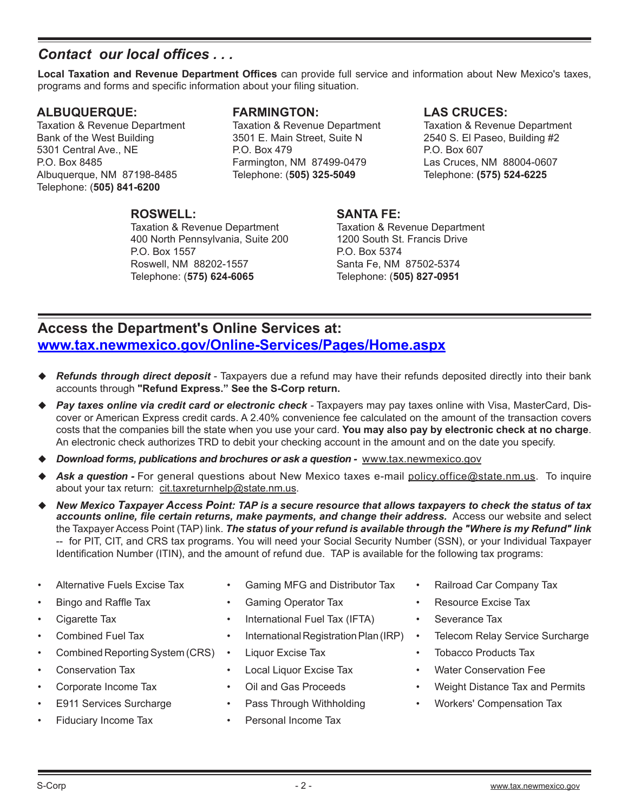### *Contact our local offices . . .*

**Local Taxation and Revenue Department Offices** can provide full service and information about New Mexico's taxes, programs and forms and specific information about your filing situation.

### **ALBUQUERQUE:**

Taxation & Revenue Department Bank of the West Building 5301 Central Ave., NE P.O. Box 8485 Albuquerque, NM 87198-8485 Telephone: (**505) 841-6200**

### **FARMINGTON:**

Taxation & Revenue Department 3501 E. Main Street, Suite N P.O. Box 479 Farmington, NM 87499-0479 Telephone: (**505) 325-5049**

### **LAS CRUCES:**

Taxation & Revenue Department 2540 S. El Paseo, Building #2 P.O. Box 607 Las Cruces, NM 88004-0607 Telephone: **(575) 524-6225**

### **ROSWELL:**

Taxation & Revenue Department 400 North Pennsylvania, Suite 200 P.O. Box 1557 Roswell, NM 88202-1557 Telephone: (**575) 624-6065**

### **SANTA FE:**

Taxation & Revenue Department 1200 South St. Francis Drive P.O. Box 5374 Santa Fe, NM 87502-5374 Telephone: (**505) 827-0951**

### **Access the Department's Online Services at: www.tax.newmexico.gov/Online-Services/Pages/Home.aspx**

- *Refunds through direct deposit* Taxpayers due a refund may have their refunds deposited directly into their bank accounts through **"Refund Express." See the S-Corp return.**
- *Pay taxes online via credit card or electronic check -* Taxpayers may pay taxes online with Visa, MasterCard, Discover or American Express credit cards. A 2.40% convenience fee calculated on the amount of the transaction covers costs that the companies bill the state when you use your card. **You may also pay by electronic check at no charge**. An electronic check authorizes TRD to debit your checking account in the amount and on the date you specify.
- *Download forms, publications and brochures or ask a question -* www.tax.newmexico.gov
- *Ask a question -* For general questions about New Mexico taxes e-mail policy.office@state.nm.us. To inquire about your tax return: cit.taxreturnhelp@state.nm.us.
- *New Mexico Taxpayer Access Point: TAP is a secure resource that allows taxpayers to check the status of tax* accounts online, file certain returns, make payments, and change their address. Access our website and select the Taxpayer Access Point (TAP) link. *The status of your refund is available through the "Where is my Refund" link*  -- for PIT, CIT, and CRS tax programs. You will need your Social Security Number (SSN), or your Individual Taxpayer Identification Number (ITIN), and the amount of refund due. TAP is available for the following tax programs:
- Alternative Fuels Excise Tax
- Bingo and Raffle Tax
- Cigarette Tax
- Combined Fuel Tax
- Combined Reporting System (CRS)
- Conservation Tax
- Corporate Income Tax
- E911 Services Surcharge
- Fiduciary Income Tax
- Gaming MFG and Distributor Tax
- Gaming Operator Tax
- International Fuel Tax (IFTA)
- International Registration Plan (IRP)
- Liquor Excise Tax
- Local Liquor Excise Tax
- Oil and Gas Proceeds
- Pass Through Withholding
- Personal Income Tax
- Railroad Car Company Tax
- Resource Excise Tax
- Severance Tax
- Telecom Relay Service Surcharge
- Tobacco Products Tax
- Water Conservation Fee
- Weight Distance Tax and Permits
- Workers' Compensation Tax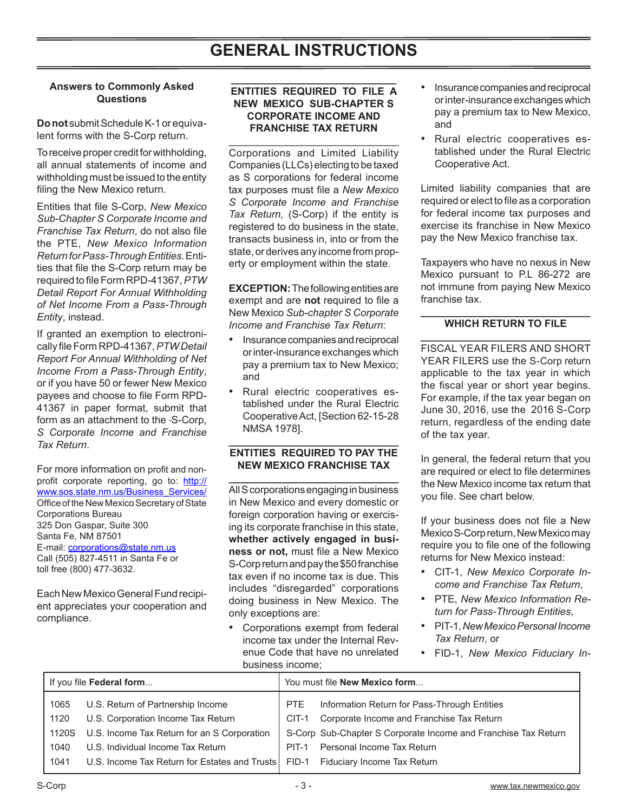#### **Answers to Commonly Asked Questions**

**Do not** submit Schedule K-1 or equivalent forms with the S-Corp return.

To receive proper credit for withholding, all annual statements of income and withholding must be issued to the entity filing the New Mexico return.

Entities that file S-Corp, *New Mexico Sub-Chapter S Corporate Income and Franchise Tax Return*, do not also file the PTE, *New Mexico Information Return for Pass-Through Entities*. Entities that file the S-Corp return may be required to file Form RPD-41367, *PTW Detail Report For Annual Withholding of Net Income From a Pass-Through Entity*, instead.

If granted an exemption to electronically file Form RPD-41367, *PTW Detail Report For Annual Withholding of Net Income From a Pass-Through Entity*, or if you have 50 or fewer New Mexico payees and choose to file Form RPD-41367 in paper format, submit that form as an attachment to the -S-Corp. *S Corporate Income and Franchise Tax Return*.

For more information on profit and nonprofit corporate reporting, go to: http:// www.sos.state.nm.us/Business\_Services/ Office of the New Mexico Secretary of State Corporations Bureau 325 Don Gaspar, Suite 300 Santa Fe, NM 87501 E-mail: corporations@state.nm.us Call (505) 827-4511 in Santa Fe or toll free (800) 477-3632.

Each New Mexico General Fund recipient appreciates your cooperation and compliance.

#### **ENTITIES REQUIRED TO FILE A NEW MEXICO SUB-CHAPTER S CORPORATE INCOME AND FRANCHISE TAX RETURN**

**\_\_\_\_\_\_\_\_\_\_\_\_\_\_\_\_\_\_\_\_\_\_\_\_\_\_\_\_\_**

\_\_\_\_\_\_\_\_\_\_\_\_\_\_\_\_\_\_\_\_\_\_\_\_\_\_\_\_\_\_ Corporations and Limited Liability Companies (LLCs) electing to be taxed as S corporations for federal income tax purposes must file a *New Mexico S Corporate Income and Franchise Tax Return,* (S-Corp) if the entity is registered to do business in the state, transacts business in, into or from the state, or derives any income from property or employment within the state.

**EXCEPTION:** The following entities are exempt and are **not** required to file a New Mexico *Sub-chapter S Corporate Income and Franchise Tax Return*:

- Insurance companies and reciprocal or inter-insurance exchanges which pay a premium tax to New Mexico; and
- Rural electric cooperatives established under the Rural Electric Cooperative Act, [Section 62-15-28 NMSA 1978].

#### **\_\_\_\_\_\_\_\_\_\_\_\_\_\_\_\_\_\_\_\_\_\_\_\_\_\_\_\_\_\_ ENTITIES REQUIRED TO PAY THE NEW MEXICO FRANCHISE TAX \_\_\_\_\_\_\_\_\_\_\_\_\_\_\_\_\_\_\_\_\_\_\_\_\_\_\_\_\_\_**

All S corporations engaging in business in New Mexico and every domestic or foreign corporation having or exercising its corporate franchise in this state, **whether actively engaged in business or not,** must file a New Mexico S-Corp returnand pay the \$50 franchise tax even if no income tax is due. This includes "disregarded" corporations doing business in New Mexico. The only exceptions are:

Corporations exempt from federal income tax under the Internal Revenue Code that have no unrelated business income;

- • Insurance companies and reciprocal or inter-insurance exchanges which pay a premium tax to New Mexico, and
- Rural electric cooperatives established under the Rural Electric Cooperative Act.

Limited liability companies that are required or elect to file as a corporation for federal income tax purposes and exercise its franchise in New Mexico pay the New Mexico franchise tax.

Taxpayers who have no nexus in New Mexico pursuant to P.L 86-272 are not immune from paying New Mexico franchise tax.

#### **\_\_\_\_\_\_\_\_\_\_\_\_\_\_\_\_\_\_\_\_\_\_\_\_\_\_\_\_\_\_ WHICH RETURN TO FILE \_\_\_\_\_\_\_\_\_\_\_\_\_\_\_\_\_\_\_\_\_\_\_\_\_\_\_\_\_\_**

FISCAL YEAR FILERS AND SHORT YEAR FILERS use the S-Corp return applicable to the tax year in which the fiscal year or short year begins. For example, if the tax year began on June 30, 2016, use the 2016 S-Corp return, regardless of the ending date of the tax year.

In general, the federal return that you are required or elect to file determines the New Mexico income tax return that you file. See chart below.

If your business does not file a New Mexico S-Corp return, New Mexico may require you to file one of the following returns for New Mexico instead:

- CIT-1, *New Mexico Corporate Income and Franchise Tax Return*,
- • PTE, *New Mexico Information Return for Pass-Through Entities*,
- • PIT-1,*New Mexico Personal Income Tax Return*, or
- • FID-1, *New Mexico Fiduciary In-*

| If you file <b>Federal form</b> |                                                                                   | You must file New Mexico form |                                                                |
|---------------------------------|-----------------------------------------------------------------------------------|-------------------------------|----------------------------------------------------------------|
| 1065                            | U.S. Return of Partnership Income                                                 | PTE                           | Information Return for Pass-Through Entities                   |
| 1120                            | U.S. Corporation Income Tax Return                                                | $CIT-1$                       | Corporate Income and Franchise Tax Return                      |
| 1120S                           | U.S. Income Tax Return for an S Corporation                                       |                               | S-Corp Sub-Chapter S Corporate Income and Franchise Tax Return |
| 1040                            | U.S. Individual Income Tax Return                                                 | PIT-1                         | Personal Income Tax Return                                     |
| 1041                            | U.S. Income Tax Return for Estates and Trusts   FID-1 Fiduciary Income Tax Return |                               |                                                                |
|                                 |                                                                                   |                               |                                                                |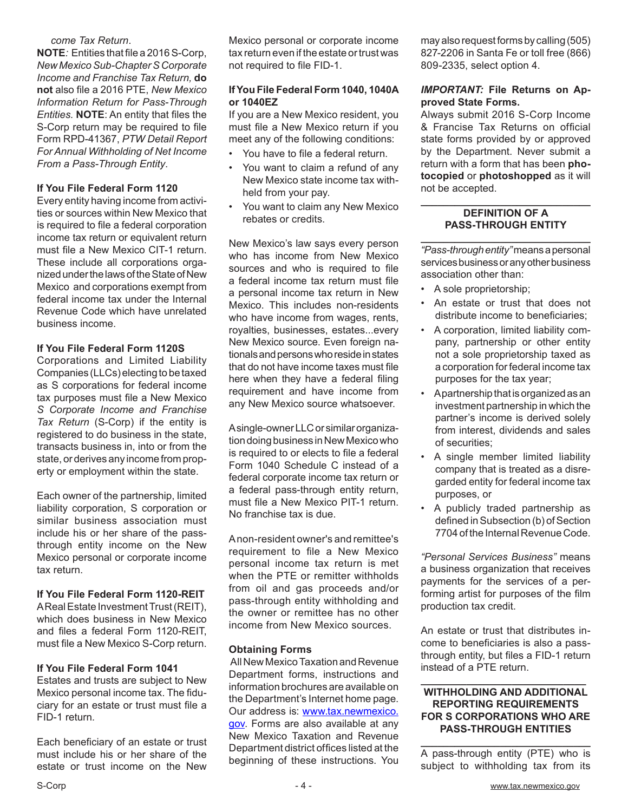#### *come Tax Return*.

**NOTE***:* Entities that file a 2016 S-Corp, *New Mexico Sub-Chapter S Corporate Income and Franchise Tax Return,* **do not** also file a 2016 PTE, *New Mexico Information Return for Pass-Through Entities.* **NOTE**: An entity that files the S-Corp return may be required to file Form RPD-41367, *PTW Detail Report For Annual Withholding of Net Income From a Pass-Through Entity*.

#### **If You File Federal Form 1120**

Every entity having income from activities or sources within New Mexico that is required to file a federal corporation income tax return or equivalent return must file a New Mexico CIT-1 return. These include all corporations organized under the laws of the State of New Mexico and corporations exempt from federal income tax under the Internal Revenue Code which have unrelated business income.

#### **If You File Federal Form 1120S**

Corporations and Limited Liability Companies (LLCs) electing to be taxed as S corporations for federal income tax purposes must file a New Mexico *S Corporate Income and Franchise Tax Return* (S-Corp) if the entity is registered to do business in the state, transacts business in, into or from the state, or derives any income from property or employment within the state.

Each owner of the partnership, limited liability corporation, S corporation or similar business association must include his or her share of the passthrough entity income on the New Mexico personal or corporate income tax return.

#### **If You File Federal Form 1120-REIT**

A Real Estate Investment Trust (REIT), which does business in New Mexico and files a federal Form 1120-REIT, must file a New Mexico S-Corp return.

#### **If You File Federal Form 1041**

Estates and trusts are subject to New Mexico personal income tax. The fiduciary for an estate or trust must file a FID-1 return*.*

Each beneficiary of an estate or trust must include his or her share of the estate or trust income on the New Mexico personal or corporate income tax return even if the estate or trust was not required to file FID-1.

#### **If You File Federal Form 1040, 1040A or 1040EZ**

If you are a New Mexico resident, you must file a New Mexico return if you meet any of the following conditions:

- You have to file a federal return.
- You want to claim a refund of any New Mexico state income tax withheld from your pay.
- You want to claim any New Mexico rebates or credits.

New Mexico's law says every person who has income from New Mexico sources and who is required to file a federal income tax return must file a personal income tax return in New Mexico. This includes non-residents who have income from wages, rents, royalties, businesses, estates...every New Mexico source. Even foreign nationals and persons who reside in states that do not have income taxes must file here when they have a federal filing requirement and have income from any New Mexico source whatsoever.

A single-owner LLC or similar organization doing business in New Mexico who is required to or elects to file a federal Form 1040 Schedule C instead of a federal corporate income tax return or a federal pass-through entity return, must file a New Mexico PIT-1 return. No franchise tax is due.

A non-resident owner's and remittee's requirement to file a New Mexico personal income tax return is met when the PTE or remitter withholds from oil and gas proceeds and/or pass-through entity withholding and the owner or remittee has no other income from New Mexico sources.

#### **Obtaining Forms**

 All New Mexico Taxation and Revenue Department forms, instructions and information brochures are available on the Department's Internet home page. Our address is: www.tax.newmexico. gov. Forms are also available at any New Mexico Taxation and Revenue Department district offices listed at the beginning of these instructions. You

may also request forms by calling (505) 827-2206 in Santa Fe or toll free (866) 809-2335, select option 4.

#### *IMPORTANT:* **File Returns on Approved State Forms.**

Always submit 2016 S-Corp Income & Francise Tax Returns on official state forms provided by or approved by the Department. Never submit a return with a form that has been **photocopied** or **photoshopped** as it will not be accepted.

#### **\_\_\_\_\_\_\_\_\_\_\_\_\_\_\_\_\_\_\_\_\_\_\_\_\_\_\_\_\_\_ DEFINITION OF A PASS-THROUGH ENTITY**

**\_\_\_\_\_\_\_\_\_\_\_\_\_\_\_\_\_\_\_\_\_\_\_\_\_\_\_\_\_\_** *"Pass-through entity"* means a personal services business or any other business association other than:

- A sole proprietorship;
- An estate or trust that does not distribute income to beneficiaries;
- A corporation, limited liability company, partnership or other entity not a sole proprietorship taxed as a corporation for federal income tax purposes for the tax year;
- A partnership that is organized as an investment partnership in which the partner's income is derived solely from interest, dividends and sales of securities;
- A single member limited liability company that is treated as a disregarded entity for federal income tax purposes, or
- A publicly traded partnership as defined in Subsection (b) of Section 7704 of the Internal Revenue Code.

*"Personal Services Business"* means a business organization that receives payments for the services of a performing artist for purposes of the film production tax credit.

An estate or trust that distributes income to beneficiaries is also a passthrough entity, but files a FID-1 return instead of a PTE return.

#### **\_\_\_\_\_\_\_\_\_\_\_\_\_\_\_\_\_\_\_\_\_\_\_\_\_\_\_\_\_ WITHHOLDING AND ADDITIONAL REPORTING REQUIREMENTS FOR S CORPORATIONS WHO ARE PASS-THROUGH ENTITIES**

**\_\_\_\_\_\_\_\_\_\_\_\_\_\_\_\_\_\_\_\_\_\_\_\_\_\_\_\_\_\_** A pass-through entity (PTE) who is subject to withholding tax from its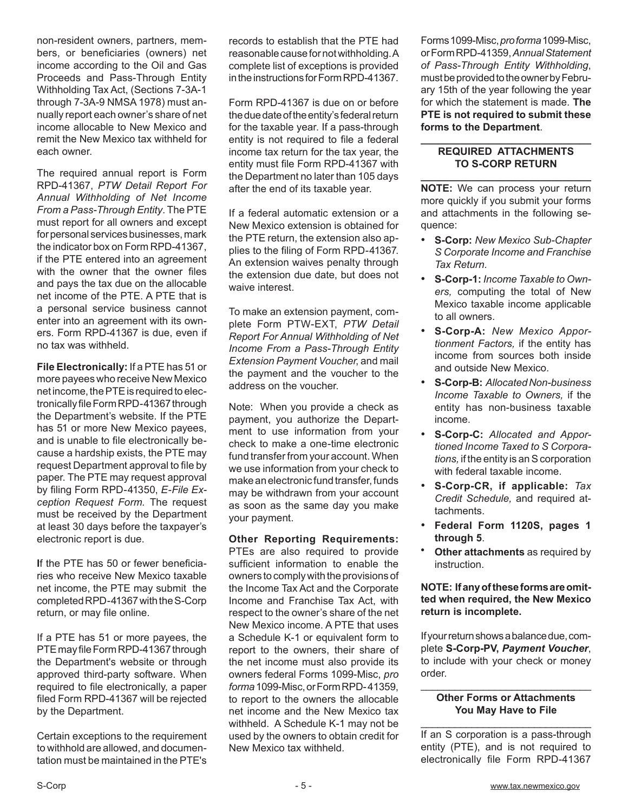non-resident owners, partners, members, or beneficiaries (owners) net income according to the Oil and Gas Proceeds and Pass-Through Entity Withholding Tax Act, (Sections 7-3A-1 through 7-3A-9 NMSA 1978) must annually report each owner's share of net income allocable to New Mexico and remit the New Mexico tax withheld for each owner.

The required annual report is Form RPD-41367, *PTW Detail Report For Annual Withholding of Net Income From a Pass-Through Entity*. The PTE must report for all owners and except for personal services businesses, mark the indicator box on Form RPD-41367, if the PTE entered into an agreement with the owner that the owner files and pays the tax due on the allocable net income of the PTE. A PTE that is a personal service business cannot enter into an agreement with its owners. Form RPD-41367 is due, even if no tax was withheld.

**File Electronically:** If a PTE has 51 or more payees who receive New Mexico net income, the PTE is required to electronically file Form RPD-41367 through the Department's website. If the PTE has 51 or more New Mexico payees, and is unable to file electronically because a hardship exists, the PTE may request Department approval to file by paper. The PTE may request approval by filing Form RPD-41350, *E-File Exception Request Form.* The request must be received by the Department at least 30 days before the taxpayer's electronic report is due.

**I**f the PTE has 50 or fewer beneficiaries who receive New Mexico taxable net income, the PTE may submit the completed RPD-41367 with the S-Corp return, or may file online.

If a PTE has 51 or more payees, the PTE may file Form RPD-41367 through the Department's website or through approved third-party software. When required to file electronically, a paper filed Form RPD-41367 will be rejected by the Department.

Certain exceptions to the requirement to withhold are allowed, and documentation must be maintained in the PTE's

records to establish that the PTE had reasonable cause for not withholding. A complete list of exceptions is provided in the instructions for Form RPD-41367.

Form RPD-41367 is due on or before the due date of the entity's federal return for the taxable year. If a pass-through entity is not required to file a federal income tax return for the tax year, the entity must file Form RPD-41367 with the Department no later than 105 days after the end of its taxable year.

If a federal automatic extension or a New Mexico extension is obtained for the PTE return, the extension also applies to the filing of Form RPD-41367. An extension waives penalty through the extension due date, but does not waive interest.

To make an extension payment, complete Form PTW-EXT, *PTW Detail Report For Annual Withholding of Net Income From a Pass-Through Entity Extension Payment Voucher*, and mail the payment and the voucher to the address on the voucher.

Note: When you provide a check as payment, you authorize the Department to use information from your check to make a one-time electronic fund transfer from your account. When we use information from your check to make an electronic fund transfer, funds may be withdrawn from your account as soon as the same day you make your payment.

**Other Reporting Requirements:** PTEs are also required to provide sufficient information to enable the owners to comply with the provisions of the Income Tax Act and the Corporate Income and Franchise Tax Act, with respect to the owner's share of the net New Mexico income. A PTE that uses a Schedule K-1 or equivalent form to report to the owners, their share of the net income must also provide its owners federal Forms 1099-Misc, *pro forma* 1099-Misc, or Form RPD- 41359, to report to the owners the allocable net income and the New Mexico tax withheld. A Schedule K-1 may not be used by the owners to obtain credit for New Mexico tax withheld.

Forms 1099-Misc, *pro forma* 1099-Misc, or Form RPD-41359, *Annual Statement of Pass-Through Entity Withholding*, must be provided to the owner by February 15th of the year following the year for which the statement is made. **The PTE is not required to submit these forms to the Department**.

#### **\_\_\_\_\_\_\_\_\_\_\_\_\_\_\_\_\_\_\_\_\_\_\_\_\_\_\_\_\_\_ REQUIRED ATTACHMENTS TO S-CORP RETURN**

**\_\_\_\_\_\_\_\_\_\_\_\_\_\_\_\_\_\_\_\_\_\_\_\_\_\_\_\_\_\_ NOTE:** We can process your return more quickly if you submit your forms and attachments in the following sequence:

- • **S-Corp:** *New Mexico Sub-Chapter S Corporate Income and Franchise Tax Return.*
- • **S-Corp-1:** *Income Taxable to Owners,* computing the total of New Mexico taxable income applicable to all owners.
- S-Corp-A: New Mexico Appor*tionment Factors,* if the entity has income from sources both inside and outside New Mexico.
- • **S-Corp-B:** *Allocated Non-business Income Taxable to Owners,* if the entity has non-business taxable income.
- • **S-Corp-C:** *Allocated and Apportioned Income Taxed to S Corporations,* if the entity is an S corporation with federal taxable income.
- • **S-Corp-CR, if applicable:** *Tax Credit Schedule,* and required attachments.
- • **Federal Form 1120S, pages 1 through 5**.
- **Other attachments** as required by instruction.

**NOTE: If any of these forms are omitted when required, the New Mexico return is incomplete.**

If your return shows a balance due, complete **S-Corp-PV,** *Payment Voucher*, to include with your check or money order.

#### \_\_\_\_\_\_\_\_\_\_\_\_\_\_\_\_\_\_\_\_\_\_\_\_\_\_\_\_\_\_ **Other Forms or Attachments You May Have to File**

\_\_\_\_\_\_\_\_\_\_\_\_\_\_\_\_\_\_\_\_\_\_\_\_\_\_\_\_\_\_ If an S corporation is a pass-through entity (PTE), and is not required to electronically file Form RPD-41367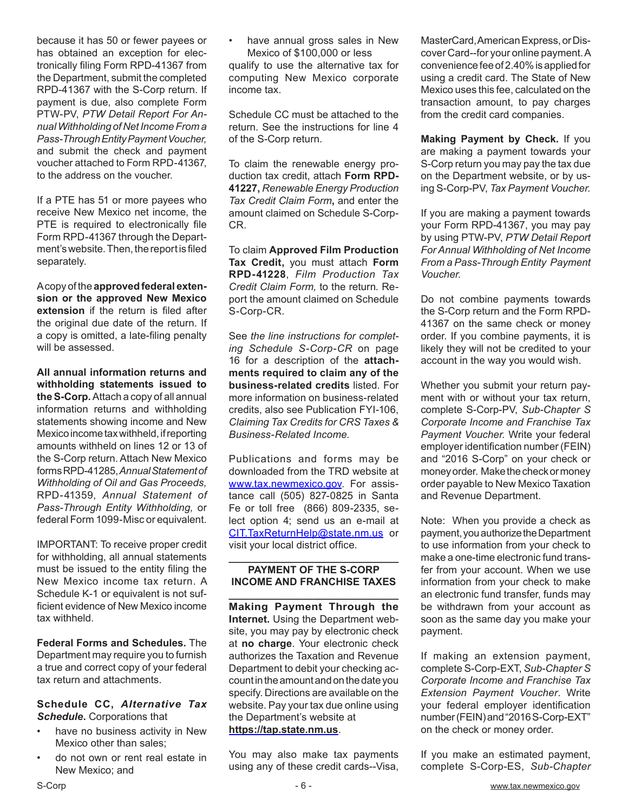because it has 50 or fewer payees or has obtained an exception for electronically filing Form RPD-41367 from the Department, submit the completed RPD-41367 with the S-Corp return. If payment is due, also complete Form PTW-PV, *PTW Detail Report For Annual Withholding of Net Income From a Pass-Through Entity Payment Voucher,*  and submit the check and payment voucher attached to Form RPD-41367, to the address on the voucher.

If a PTE has 51 or more payees who receive New Mexico net income, the PTE is required to electronically file Form RPD-41367 through the Department's website. Then, the report is filed separately.

A copy of the **approved federal extension or the approved New Mexico extension** if the return is filed after the original due date of the return. If a copy is omitted, a late-filing penalty will be assessed.

**All annual information returns and withholding statements issued to the S-Corp.** Attach a copy of all annual information returns and withholding statements showing income and New Mexico income tax withheld, if reporting amounts withheld on lines 12 or 13 of the S-Corp return. Attach New Mexico forms RPD-41285, *Annual Statement of Withholding of Oil and Gas Proceeds,*  RPD-41359, *Annual Statement of Pass-Through Entity Withholding,* or federal Form 1099-Misc or equivalent.

IMPORTANT: To receive proper credit for withholding, all annual statements must be issued to the entity filing the New Mexico income tax return. A Schedule K-1 or equivalent is not sufficient evidence of New Mexico income tax withheld.

**Federal Forms and Schedules.** The Department may require you to furnish a true and correct copy of your federal tax return and attachments.

#### **Schedule CC,** *Alternative Tax Schedule***.** Corporations that

- have no business activity in New Mexico other than sales;
- do not own or rent real estate in New Mexico; and

have annual gross sales in New Mexico of \$100,000 or less qualify to use the alternative tax for computing New Mexico corporate income tax.

Schedule CC must be attached to the return. See the instructions for line 4 of the S-Corp return.

To claim the renewable energy production tax credit, attach **Form RPD-41227,** *Renewable Energy Production Tax Credit Claim Form***,** and enter the amount claimed on Schedule S-Corp-CR.

To claim **Approved Film Production Tax Credit,** you must attach **Form RPD-41228**, *Film Production Tax Credit Claim Form,* to the return*.* Report the amount claimed on Schedule S-Corp-CR.

See *the line instructions for completing Schedule S-Corp-CR* on page 16 for a description of the **attachments required to claim any of the business-related credits** listed. For more information on business-related credits, also see Publication FYI-106, *Claiming Tax Credits for CRS Taxes & Business-Related Income.*

Publications and forms may be downloaded from the TRD website at www.tax.newmexico.gov. For assistance call (505) 827-0825 in Santa Fe or toll free (866) 809-2335, select option 4; send us an e-mail at CIT.TaxReturnHelp@state.nm.us or visit your local district office.

#### **\_\_\_\_\_\_\_\_\_\_\_\_\_\_\_\_\_\_\_\_\_\_\_\_\_\_\_\_\_\_ PAYMENT OF THE S-CORP INCOME AND FRANCHISE TAXES**

**\_\_\_\_\_\_\_\_\_\_\_\_\_\_\_\_\_\_\_\_\_\_\_\_\_\_\_\_\_\_ Making Payment Through the Internet.** Using the Department website, you may pay by electronic check at **no charge**. Your electronic check authorizes the Taxation and Revenue Department to debit your checking account in the amount and on the date you specify. Directions are available on the website. Pay your tax due online using the Department's website at **https://tap.state.nm.us**.

You may also make tax payments using any of these credit cards--Visa, MasterCard, American Express, or Discover Card--for your online payment. A convenience fee of 2.40% is applied for using a credit card. The State of New Mexico uses this fee, calculated on the transaction amount, to pay charges from the credit card companies.

**Making Payment by Check.** If you are making a payment towards your S-Corp return you may pay the tax due on the Department website, or by using S-Corp-PV, *Tax Payment Voucher.* 

If you are making a payment towards your Form RPD-41367, you may pay by using PTW-PV, *PTW Detail Report For Annual Withholding of Net Income From a Pass-Through Entity Payment Voucher.*

Do not combine payments towards the S-Corp return and the Form RPD-41367 on the same check or money order. If you combine payments, it is likely they will not be credited to your account in the way you would wish.

Whether you submit your return payment with or without your tax return, complete S-Corp-PV, *Sub-Chapter S Corporate Income and Franchise Tax Payment Voucher.* Write your federal employer identification number (FEIN) and "2016 S-Corp" on your check or money order. Make the check or money order payable to New Mexico Taxation and Revenue Department.

Note: When you provide a check as payment, you authorize the Department to use information from your check to make a one-time electronic fund transfer from your account. When we use information from your check to make an electronic fund transfer, funds may be withdrawn from your account as soon as the same day you make your payment.

If making an extension payment, complete S-Corp-EXT, *Sub-Chapter S Corporate Income and Franchise Tax Extension Payment Voucher*. Write your federal employer identification number (FEIN) and "2016 S-Corp-EXT" on the check or money order.

If you make an estimated payment, complete S-Corp-ES, *Sub-Chapter*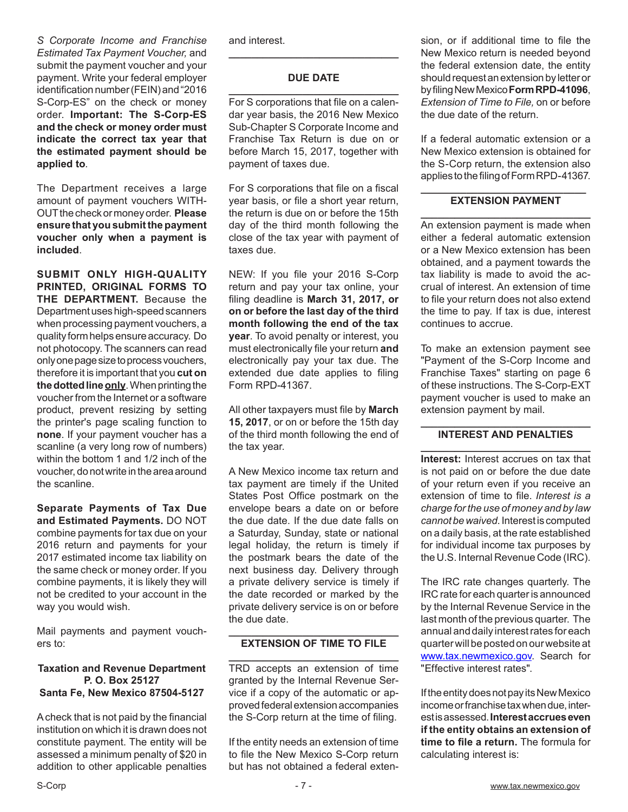*S Corporate Income and Franchise Estimated Tax Payment Voucher,* and submit the payment voucher and your payment. Write your federal employer identification number (FEIN) and "2016 S-Corp-ES" on the check or money order. **Important: The S-Corp-ES and the check or money order must indicate the correct tax year that the estimated payment should be applied to***.*

The Department receives a large amount of payment vouchers WITH-OUT the check or money order. **Please ensure that you submit the payment voucher only when a payment is included**.

**SUBMIT ONLY HIGH-QUALITY PRINTED, ORIGINAL FORMS TO THE DEPARTMENT.** Because the Department uses high-speed scanners when processing payment vouchers, a quality form helps ensure accuracy. Do not photocopy. The scanners can read only one page size to process vouchers, therefore it is important that you **cut on the dotted line only**. When printing the voucher from the Internet or a software product, prevent resizing by setting the printer's page scaling function to **none**. If your payment voucher has a scanline (a very long row of numbers) within the bottom 1 and 1/2 inch of the voucher, do not write in the area around the scanline.

**Separate Payments of Tax Due and Estimated Payments.** DO NOT combine payments for tax due on your 2016 return and payments for your 2017 estimated income tax liability on the same check or money order. If you combine payments, it is likely they will not be credited to your account in the way you would wish.

Mail payments and payment vouchers to:

#### **Taxation and Revenue Department P. O. Box 25127 Santa Fe, New Mexico 87504-5127**

A check that is not paid by the financial institution on which it is drawn does not constitute payment. The entity will be assessed a minimum penalty of \$20 in addition to other applicable penalties

and interest.

#### **DUE DATE**

**\_\_\_\_\_\_\_\_\_\_\_\_\_\_\_\_\_\_\_\_\_\_\_\_\_\_\_\_\_\_**

**\_\_\_\_\_\_\_\_\_\_\_\_\_\_\_\_\_\_\_\_\_\_\_\_\_\_\_\_\_\_** For S corporations that file on a calendar year basis, the 2016 New Mexico Sub-Chapter S Corporate Income and Franchise Tax Return is due on or before March 15, 2017, together with payment of taxes due.

For S corporations that file on a fiscal year basis, or file a short year return, the return is due on or before the 15th day of the third month following the close of the tax year with payment of taxes due.

NEW: If you file your 2016 S-Corp return and pay your tax online, your filing deadline is **March 31, 2017, or on or before the last day of the third month following the end of the tax year**. To avoid penalty or interest, you must electronically file your return **and** electronically pay your tax due. The extended due date applies to filing Form RPD-41367.

All other taxpayers must file by **March 15, 2017**, or on or before the 15th day of the third month following the end of the tax year.

A New Mexico income tax return and tax payment are timely if the United States Post Office postmark on the envelope bears a date on or before the due date. If the due date falls on a Saturday, Sunday, state or national legal holiday, the return is timely if the postmark bears the date of the next business day. Delivery through a private delivery service is timely if the date recorded or marked by the private delivery service is on or before the due date.

#### **\_\_\_\_\_\_\_\_\_\_\_\_\_\_\_\_\_\_\_\_\_\_\_\_\_\_\_\_\_\_ EXTENSION OF TIME TO FILE**

**\_\_\_\_\_\_\_\_\_\_\_\_\_\_\_\_\_\_\_\_\_\_\_\_\_\_\_\_\_\_** TRD accepts an extension of time granted by the Internal Revenue Service if a copy of the automatic or approved federal extension accompanies the S-Corp return at the time of filing.

If the entity needs an extension of time to file the New Mexico S-Corp return but has not obtained a federal extension, or if additional time to file the New Mexico return is needed beyond the federal extension date, the entity should request an extension by letter or by filing New Mexico **Form RPD-41096**, *Extension of Time to File,* on or before the due date of the return.

If a federal automatic extension or a New Mexico extension is obtained for the S-Corp return, the extension also applies to the filing of Form RPD-41367.

#### **\_\_\_\_\_\_\_\_\_\_\_\_\_\_\_\_\_\_\_\_\_\_\_\_\_\_\_\_\_ EXTENSION PAYMENT**

**\_\_\_\_\_\_\_\_\_\_\_\_\_\_\_\_\_\_\_\_\_\_\_\_\_\_\_\_\_\_** An extension payment is made when either a federal automatic extension or a New Mexico extension has been obtained, and a payment towards the tax liability is made to avoid the accrual of interest. An extension of time to file your return does not also extend the time to pay. If tax is due, interest continues to accrue.

To make an extension payment see "Payment of the S-Corp Income and Franchise Taxes" starting on page 6 of these instructions. The S-Corp-EXT payment voucher is used to make an extension payment by mail.

#### **\_\_\_\_\_\_\_\_\_\_\_\_\_\_\_\_\_\_\_\_\_\_\_\_\_\_\_\_\_\_ INTEREST AND PENALTIES**

**\_\_\_\_\_\_\_\_\_\_\_\_\_\_\_\_\_\_\_\_\_\_\_\_\_\_\_\_\_\_ Interest:** Interest accrues on tax that is not paid on or before the due date of your return even if you receive an extension of time to file. *Interest is a charge for the use of money and by law cannot be waived*. Interest is computed on a daily basis, at the rate established for individual income tax purposes by the U.S. Internal Revenue Code (IRC).

The IRC rate changes quarterly. The IRC rate for each quarter is announced by the Internal Revenue Service in the last month of the previous quarter. The annual and daily interest rates for each quarter will be posted on our website at www.tax.newmexico.gov. Search for "Effective interest rates".

If the entity does not pay its New Mexico income or franchise tax when due, interest is assessed. **Interest accrues even if the entity obtains an extension of time to file a return.** The formula for calculating interest is: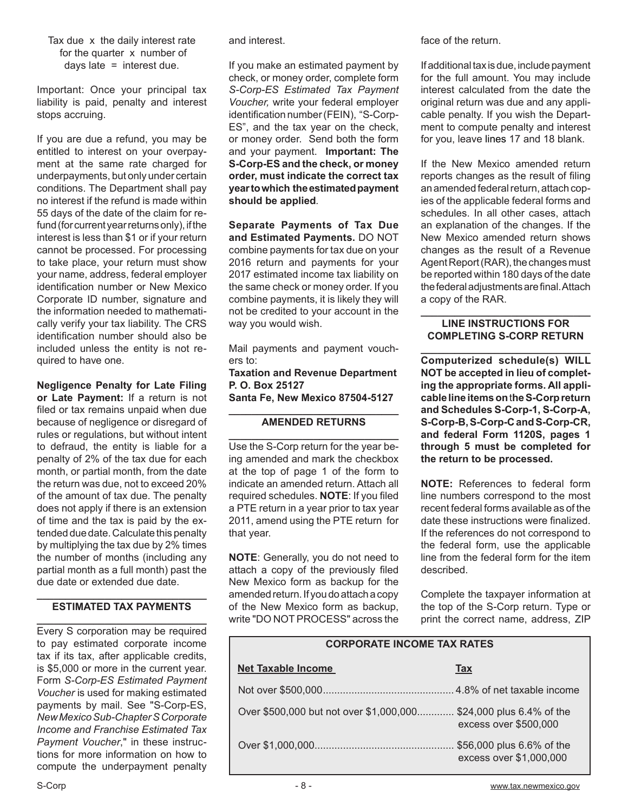Important: Once your principal tax liability is paid, penalty and interest stops accruing.

If you are due a refund, you may be entitled to interest on your overpayment at the same rate charged for underpayments, but only under certain conditions. The Department shall pay no interest if the refund is made within 55 days of the date of the claim for refund (for current year returns only), if the interest is less than \$1 or if your return cannot be processed. For processing to take place, your return must show your name, address, federal employer identification number or New Mexico Corporate ID number, signature and the information needed to mathematically verify your tax liability. The CRS identification number should also be included unless the entity is not required to have one.

**Negligence Penalty for Late Filing or Late Payment:** If a return is not filed or tax remains unpaid when due because of negligence or disregard of rules or regulations, but without intent to defraud, the entity is liable for a penalty of 2% of the tax due for each month, or partial month, from the date the return was due, not to exceed 20% of the amount of tax due. The penalty does not apply if there is an extension of time and the tax is paid by the extended due date. Calculate this penalty by multiplying the tax due by 2% times the number of months (including any partial month as a full month) past the due date or extended due date.

#### **\_\_\_\_\_\_\_\_\_\_\_\_\_\_\_\_\_\_\_\_\_\_\_\_\_\_\_\_\_\_ ESTIMATED TAX PAYMENTS**

**\_\_\_\_\_\_\_\_\_\_\_\_\_\_\_\_\_\_\_\_\_\_\_\_\_\_\_\_\_\_** Every S corporation may be required to pay estimated corporate income tax if its tax, after applicable credits, is \$5,000 or more in the current year. Form *S-Corp-ES Estimated Payment Voucher* is used for making estimated payments by mail. See "S-Corp-ES, *New Mexico Sub-Chapter S Corporate Income and Franchise Estimated Tax Payment Voucher*," in these instructions for more information on how to compute the underpayment penalty and interest.

If you make an estimated payment by check, or money order, complete form *S-Corp-ES Estimated Tax Payment Voucher,* write your federal employer identification number (FEIN), "S-Corp-ES", and the tax year on the check, or money order. Send both the form and your payment. **Important: The S-Corp-ES and the check, or money order, must indicate the correct tax year to which the estimated payment should be applied***.*

**Separate Payments of Tax Due and Estimated Payments.** DO NOT combine payments for tax due on your 2016 return and payments for your 2017 estimated income tax liability on the same check or money order. If you combine payments, it is likely they will not be credited to your account in the way you would wish.

Mail payments and payment vouchers to:

**Taxation and Revenue Department P. O. Box 25127**

**Santa Fe, New Mexico 87504-5127**

#### **\_\_\_\_\_\_\_\_\_\_\_\_\_\_\_\_\_\_\_\_\_\_\_\_\_\_\_\_\_\_ AMENDED RETURNS**

**\_\_\_\_\_\_\_\_\_\_\_\_\_\_\_\_\_\_\_\_\_\_\_\_\_\_\_\_\_\_** Use the S-Corp return for the year being amended and mark the checkbox at the top of page 1 of the form to indicate an amended return. Attach all required schedules. **NOTE**: If you filed a PTE return in a year prior to tax year 2011, amend using the PTE return for that year.

**NOTE**: Generally, you do not need to attach a copy of the previously filed New Mexico form as backup for the amended return. If you do attach a copy of the New Mexico form as backup, write "DO NOT PROCESS" across the face of the return.

If additional tax is due, include payment for the full amount. You may include interest calculated from the date the original return was due and any applicable penalty. If you wish the Department to compute penalty and interest for you, leave lines 17 and 18 blank.

If the New Mexico amended return reports changes as the result of filing an amended federal return, attach copies of the applicable federal forms and schedules. In all other cases, attach an explanation of the changes. If the New Mexico amended return shows changes as the result of a Revenue Agent Report (RAR), the changes must be reported within 180 days of the date the federal adjustments are final. Attach a copy of the RAR.

#### **\_\_\_\_\_\_\_\_\_\_\_\_\_\_\_\_\_\_\_\_\_\_\_\_\_\_\_\_\_\_ LINE INSTRUCTIONS FOR COMPLETING S-CORP RETURN**

**\_\_\_\_\_\_\_\_\_\_\_\_\_\_\_\_\_\_\_\_\_\_\_\_\_\_\_\_\_\_ Computerized schedule(s) WILL NOT be accepted in lieu of completing the appropriate forms. All applicable line items on** t**he S-Corp return and Schedules S-Corp-1, S-Corp-A, S-Corp-B, S-Corp-C and S-Corp-CR, and federal Form 1120S, pages 1 through 5 must be completed for the return to be processed.**

**NOTE:** References to federal form line numbers correspond to the most recent federal forms available as of the date these instructions were finalized. If the references do not correspond to the federal form, use the applicable line from the federal form for the item described.

Complete the taxpayer information at the top of the S-Corp return. Type or print the correct name, address, ZIP

| <b>CORPORATE INCOME TAX RATES</b>                                 |                         |  |  |
|-------------------------------------------------------------------|-------------------------|--|--|
| <b>Net Taxable Income</b>                                         | <b>Tax</b>              |  |  |
|                                                                   |                         |  |  |
| Over \$500,000 but not over \$1,000,000 \$24,000 plus 6.4% of the | excess over \$500,000   |  |  |
|                                                                   | excess over \$1,000,000 |  |  |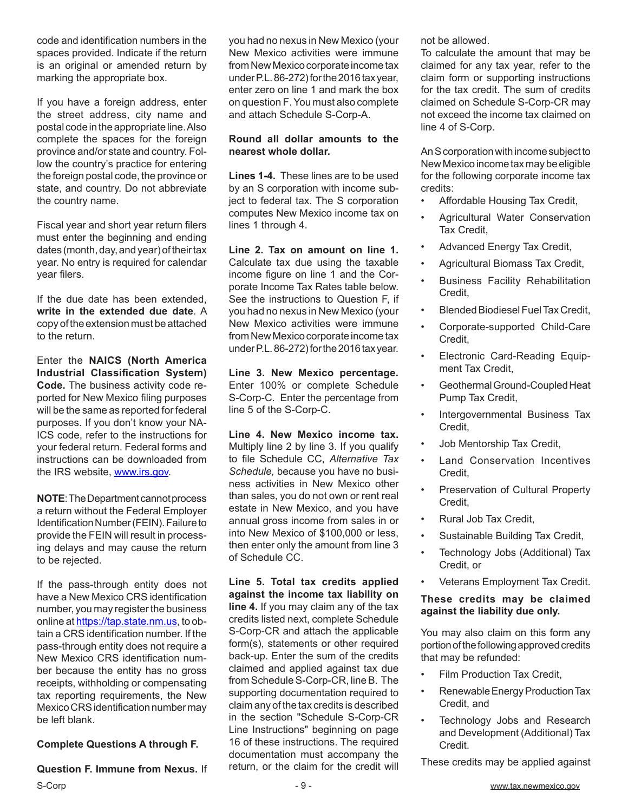code and identification numbers in the spaces provided. Indicate if the return is an original or amended return by marking the appropriate box.

If you have a foreign address, enter the street address, city name and postal code in the appropriate line. Also complete the spaces for the foreign province and/or state and country. Follow the country's practice for entering the foreign postal code, the province or state, and country. Do not abbreviate the country name.

Fiscal year and short year return filers must enter the beginning and ending dates (month, day, and year) of their tax year. No entry is required for calendar year filers.

If the due date has been extended, **write in the extended due date**. A copy of the extension must be attached to the return.

Enter the **NAICS (North America Industrial Classification System) Code.** The business activity code reported for New Mexico filing purposes will be the same as reported for federal purposes. If you don't know your NA-ICS code, refer to the instructions for your federal return. Federal forms and instructions can be downloaded from the IRS website, www.irs.gov.

**NOTE**: The Department cannot process a return without the Federal Employer Identification Number (FEIN). Failure to provide the FEIN will result in processing delays and may cause the return to be rejected.

If the pass-through entity does not have a New Mexico CRS identification number, you may register the business online at https://tap.state.nm.us, to obtain a CRS identification number. If the pass-through entity does not require a New Mexico CRS identification number because the entity has no gross receipts, withholding or compensating tax reporting requirements, the New Mexico CRS identification number may be left blank.

#### **Complete Questions A through F.**

**Question F. Immune from Nexus.** If

you had no nexus in New Mexico (your New Mexico activities were immune from New Mexico corporate income tax under P.L. 86-272) for the 2016 tax year, enter zero on line 1 and mark the box on question F. You must also complete and attach Schedule S-Corp-A.

#### **Round all dollar amounts to the nearest whole dollar.**

**Lines 1-4.** These lines are to be used by an S corporation with income subject to federal tax. The S corporation computes New Mexico income tax on lines 1 through 4.

**Line 2. Tax on amount on line 1.**  Calculate tax due using the taxable income figure on line 1 and the Corporate Income Tax Rates table below. See the instructions to Question F, if you had no nexus in New Mexico (your New Mexico activities were immune from New Mexico corporate income tax under P.L. 86-272) for the 2016 tax year.

#### **Line 3. New Mexico percentage.**

Enter 100% or complete Schedule S-Corp-C. Enter the percentage from line 5 of the S-Corp-C.

**Line 4. New Mexico income tax.**  Multiply line 2 by line 3. If you qualify to file Schedule CC, *Alternative Tax Schedule,* because you have no business activities in New Mexico other than sales, you do not own or rent real estate in New Mexico, and you have annual gross income from sales in or into New Mexico of \$100,000 or less, then enter only the amount from line 3 of Schedule CC.

**Line 5. Total tax credits applied against the income tax liability on line 4.** If you may claim any of the tax credits listed next, complete Schedule S-Corp-CR and attach the applicable form(s), statements or other required back-up. Enter the sum of the credits claimed and applied against tax due from Schedule S-Corp-CR, line B. The supporting documentation required to claim any of the tax credits is described in the section "Schedule S-Corp-CR Line Instructions" beginning on page 16 of these instructions. The required documentation must accompany the return, or the claim for the credit will not be allowed.

To calculate the amount that may be claimed for any tax year, refer to the claim form or supporting instructions for the tax credit. The sum of credits claimed on Schedule S-Corp-CR may not exceed the income tax claimed on line 4 of S-Corp.

An S corporation with income subject to New Mexico income tax may be eligible for the following corporate income tax credits:

- Affordable Housing Tax Credit,
- Agricultural Water Conservation Tax Credit,
- Advanced Energy Tax Credit,
- Agricultural Biomass Tax Credit,
- Business Facility Rehabilitation Credit,
- Blended Biodiesel Fuel Tax Credit,
- Corporate-supported Child-Care Credit,
- Electronic Card-Reading Equipment Tax Credit,
- Geothermal Ground-Coupled Heat Pump Tax Credit,
- Intergovernmental Business Tax Credit,
- Job Mentorship Tax Credit,
- Land Conservation Incentives Credit,
- Preservation of Cultural Property Credit,
- Rural Job Tax Credit,
- Sustainable Building Tax Credit,
- Technology Jobs (Additional) Tax Credit, or
- Veterans Employment Tax Credit.

#### **These credits may be claimed against the liability due only.**

You may also claim on this form any portion of the following approved credits that may be refunded:

- Film Production Tax Credit,
- Renewable Energy Production Tax Credit, and
- Technology Jobs and Research and Development (Additional) Tax Credit.

These credits may be applied against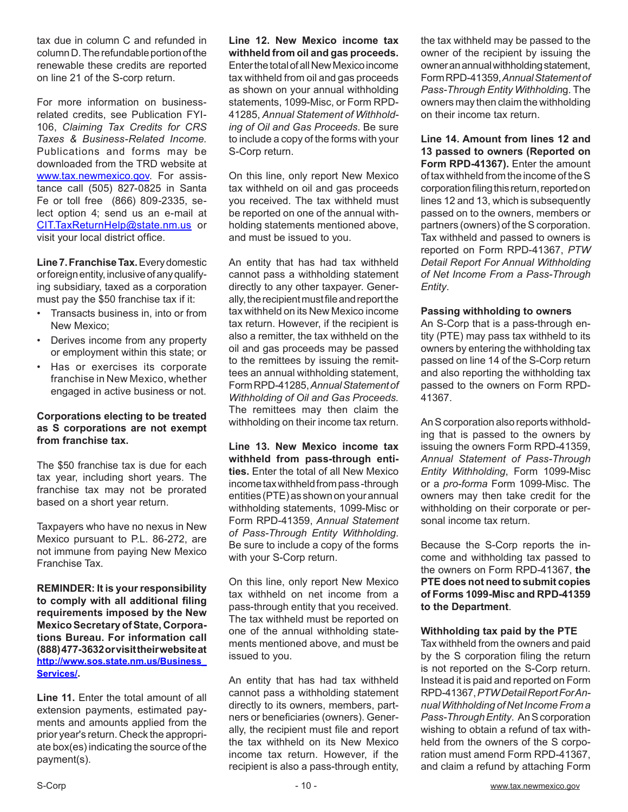tax due in column C and refunded in column D. The refundable portion of the renewable these credits are reported on line 21 of the S-corp return.

For more information on businessrelated credits, see Publication FYI-106, *Claiming Tax Credits for CRS Taxes & Business-Related Income.*  Publications and forms may be downloaded from the TRD website at www.tax.newmexico.gov. For assistance call (505) 827-0825 in Santa Fe or toll free (866) 809-2335, select option 4; send us an e-mail at CIT.TaxReturnHelp@state.nm.us or visit your local district office.

**Line 7. Franchise Tax.** Every domestic or foreign entity, inclusive of any qualifying subsidiary, taxed as a corporation must pay the \$50 franchise tax if it:

- Transacts business in, into or from New Mexico;
- Derives income from any property or employment within this state; or
- Has or exercises its corporate franchise in New Mexico, whether engaged in active business or not.

#### **Corporations electing to be treated as S corporations are not exempt from franchise tax.**

The \$50 franchise tax is due for each tax year, including short years. The franchise tax may not be prorated based on a short year return.

Taxpayers who have no nexus in New Mexico pursuant to P.L. 86-272, are not immune from paying New Mexico Franchise Tax.

**REMINDER: It is your responsibility to comply with all additional filing requirements imposed by the New Mexico Secretary of State, Corporations Bureau. For information call (888) 477-3632 or visit their website at http://www.sos.state.nm.us/Business\_ Services/.**

**Line 11.** Enter the total amount of all extension payments, estimated payments and amounts applied from the prior year's return. Check the appropriate box(es) indicating the source of the payment(s).

**Line 12. New Mexico income tax withheld from oil and gas proceeds.**  Enter the total of all New Mexico income tax withheld from oil and gas proceeds as shown on your annual withholding statements, 1099-Misc, or Form RPD-41285, *Annual Statement of Withholding of Oil and Gas Proceeds*. Be sure to include a copy of the forms with your S-Corp return.

On this line, only report New Mexico tax withheld on oil and gas proceeds you received. The tax withheld must be reported on one of the annual withholding statements mentioned above, and must be issued to you.

An entity that has had tax withheld cannot pass a withholding statement directly to any other taxpayer. Generally, the recipient must file and report the tax withheld on its New Mexico income tax return. However, if the recipient is also a remitter, the tax withheld on the oil and gas proceeds may be passed to the remittees by issuing the remittees an annual withholding statement, Form RPD-41285, *Annual Statement of Withholding of Oil and Gas Proceeds.*  The remittees may then claim the withholding on their income tax return.

**Line 13. New Mexico income tax withheld from pass-through entities.** Enter the total of all New Mexico income tax withheld from pass -through entities (PTE) as shown on your annual withholding statements, 1099-Misc or Form RPD-41359, *Annual Statement of Pass-Through Entity Withholding*. Be sure to include a copy of the forms with your S-Corp return.

On this line, only report New Mexico tax withheld on net income from a pass-through entity that you received. The tax withheld must be reported on one of the annual withholding statements mentioned above, and must be issued to you.

An entity that has had tax withheld cannot pass a withholding statement directly to its owners, members, partners or beneficiaries (owners). Generally, the recipient must file and report the tax withheld on its New Mexico income tax return. However, if the recipient is also a pass-through entity,

the tax withheld may be passed to the owner of the recipient by issuing the owner an annual withholding statement, Form RPD-41359, *Annual Statement of Pass-Through Entity Withholdin*g. The owners may then claim the withholding on their income tax return.

**Line 14. Amount from lines 12 and 13 passed to owners (Reported on**  Form RPD-41367). Enter the amount of tax withheld from the income of the S corporation filing this return, reported on lines 12 and 13, which is subsequently passed on to the owners, members or partners (owners) of the S corporation. Tax withheld and passed to owners is reported on Form RPD-41367, *PTW Detail Report For Annual Withholding of Net Income From a Pass-Through Entity*.

#### **Passing withholding to owners**

An S-Corp that is a pass-through entity (PTE) may pass tax withheld to its owners by entering the withholding tax passed on line 14 of the S-Corp return and also reporting the withholding tax passed to the owners on Form RPD-41367.

An S corporation also reports withholding that is passed to the owners by issuing the owners Form RPD-41359, *Annual Statement of Pass-Through Entity Withholding*, Form 1099-Misc or a *pro-forma* Form 1099-Misc. The owners may then take credit for the withholding on their corporate or personal income tax return.

Because the S-Corp reports the income and withholding tax passed to the owners on Form RPD-41367, **the PTE does not need to submit copies of Forms 1099-Misc and RPD-41359 to the Department**.

#### **Withholding tax paid by the PTE**

Tax withheld from the owners and paid by the S corporation filing the return is not reported on the S-Corp return. Instead it is paid and reported on Form RPD-41367, *PTW Detail Report For Annual Withholding of Net Income From a Pass-Through Entity*. An S corporation wishing to obtain a refund of tax withheld from the owners of the S corporation must amend Form RPD-41367, and claim a refund by attaching Form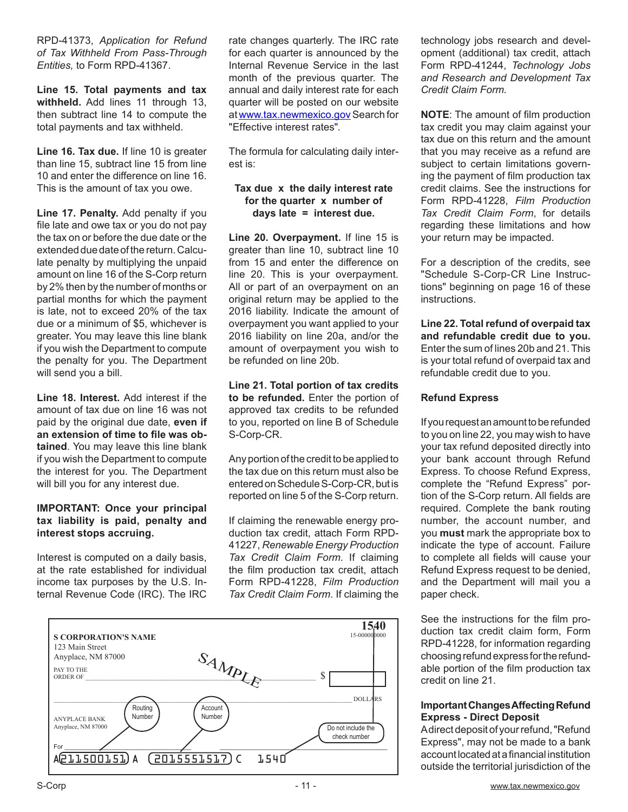RPD-41373, *Application for Refund of Tax Withheld From Pass-Through Entities,* to Form RPD-41367.

**Line 15. Total payments and tax withheld.** Add lines 11 through 13, then subtract line 14 to compute the total payments and tax withheld.

**Line 16. Tax due.** If line 10 is greater than line 15, subtract line 15 from line 10 and enter the difference on line 16. This is the amount of tax you owe.

**Line 17. Penalty.** Add penalty if you file late and owe tax or you do not pay the tax on or before the due date or the extended due date of the return. Calculate penalty by multiplying the unpaid amount on line 16 of the S-Corp return by 2% then by the number of months or partial months for which the payment is late, not to exceed 20% of the tax due or a minimum of \$5, whichever is greater. You may leave this line blank if you wish the Department to compute the penalty for you. The Department will send you a bill.

**Line 18. Interest.** Add interest if the amount of tax due on line 16 was not paid by the original due date, **even if an extension of time to file was obtained**. You may leave this line blank if you wish the Department to compute the interest for you. The Department will bill you for any interest due.

#### **IMPORTANT: Once your principal tax liability is paid, penalty and interest stops accruing.**

Interest is computed on a daily basis, at the rate established for individual income tax purposes by the U.S. Internal Revenue Code (IRC). The IRC rate changes quarterly. The IRC rate for each quarter is announced by the Internal Revenue Service in the last month of the previous quarter. The annual and daily interest rate for each quarter will be posted on our website at www.tax.newmexico.gov Search for "Effective interest rates".

The formula for calculating daily interest is:

#### **Tax due x the daily interest rate for the quarter x number of days late = interest due.**

**Line 20. Overpayment.** If line 15 is greater than line 10, subtract line 10 from 15 and enter the difference on line 20. This is your overpayment. All or part of an overpayment on an original return may be applied to the 2016 liability. Indicate the amount of overpayment you want applied to your 2016 liability on line 20a, and/or the amount of overpayment you wish to be refunded on line 20b.

**Line 21. Total portion of tax credits to be refunded.** Enter the portion of approved tax credits to be refunded to you, reported on line B of Schedule S-Corp-CR.

Any portion of the credit to be applied to the tax due on this return must also be entered on Schedule S-Corp-CR, but is reported on line 5 of the S-Corp return.

If claiming the renewable energy production tax credit, attach Form RPD-41227, *Renewable Energy Production Tax Credit Claim Form.* If claiming the film production tax credit, attach Form RPD-41228, *Film Production Tax Credit Claim Form*. If claiming the



technology jobs research and development (additional) tax credit, attach Form RPD-41244, *Technology Jobs and Research and Development Tax Credit Claim Form.*

**NOTE**: The amount of film production tax credit you may claim against your tax due on this return and the amount that you may receive as a refund are subject to certain limitations governing the payment of film production tax credit claims. See the instructions for Form RPD-41228, *Film Production Tax Credit Claim Form*, for details regarding these limitations and how your return may be impacted.

For a description of the credits, see "Schedule S-Corp-CR Line Instructions" beginning on page 16 of these instructions.

**Line 22. Total refund of overpaid tax and refundable credit due to you.** Enter the sum of lines 20b and 21. This is your total refund of overpaid tax and refundable credit due to you.

#### **Refund Express**

If you request an amount to be refunded to you on line 22, you may wish to have your tax refund deposited directly into your bank account through Refund Express. To choose Refund Express, complete the "Refund Express" portion of the S-Corp return. All fields are required. Complete the bank routing number, the account number, and you **must** mark the appropriate box to indicate the type of account. Failure to complete all fields will cause your Refund Express request to be denied, and the Department will mail you a paper check.

See the instructions for the film production tax credit claim form, Form RPD-41228, for information regarding choosing refund express for the refundable portion of the film production tax credit on line 21.

#### **Important Changes Affecting Refund Express - Direct Deposit**

A direct deposit of your refund, "Refund Express", may not be made to a bank account located at a financial institution outside the territorial jurisdiction of the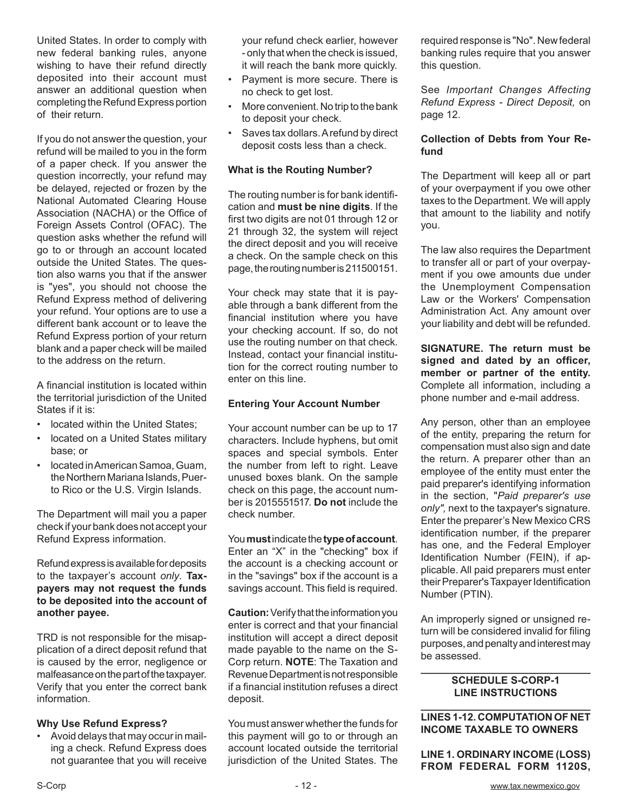United States. In order to comply with new federal banking rules, anyone wishing to have their refund directly deposited into their account must answer an additional question when completing the Refund Express portion of their return.

If you do not answer the question, your refund will be mailed to you in the form of a paper check. If you answer the question incorrectly, your refund may be delayed, rejected or frozen by the National Automated Clearing House Association (NACHA) or the Office of Foreign Assets Control (OFAC). The question asks whether the refund will go to or through an account located outside the United States. The question also warns you that if the answer is "yes", you should not choose the Refund Express method of delivering your refund. Your options are to use a different bank account or to leave the Refund Express portion of your return blank and a paper check will be mailed to the address on the return.

A financial institution is located within the territorial jurisdiction of the United States if it is:

- located within the United States;
- located on a United States military base; or
- located in American Samoa, Guam, the Northern Mariana Islands, Puerto Rico or the U.S. Virgin Islands.

The Department will mail you a paper check if your bank does not accept your Refund Express information.

Refund express is available for deposits to the taxpayer's account *only*. **Taxpayers may not request the funds to be deposited into the account of another payee.** 

TRD is not responsible for the misapplication of a direct deposit refund that is caused by the error, negligence or malfeasance on the part of the taxpayer. Verify that you enter the correct bank information.

#### **Why Use Refund Express?**

• Avoid delays that may occur in mailing a check. Refund Express does not guarantee that you will receive your refund check earlier, however - only that when the check is issued, it will reach the bank more quickly.

- Payment is more secure. There is no check to get lost.
- More convenient. No trip to the bank to deposit your check.
- Saves tax dollars. A refund by direct deposit costs less than a check.

#### **What is the Routing Number?**

The routing number is for bank identification and **must be nine digits**. If the first two digits are not 01 through 12 or 21 through 32, the system will reject the direct deposit and you will receive a check. On the sample check on this page, the routing number is 211500151.

Your check may state that it is payable through a bank different from the financial institution where you have your checking account. If so, do not use the routing number on that check. Instead, contact your financial institution for the correct routing number to enter on this line.

#### **Entering Your Account Number**

Your account number can be up to 17 characters. Include hyphens, but omit spaces and special symbols. Enter the number from left to right. Leave unused boxes blank. On the sample check on this page, the account number is 2015551517. **Do not** include the check number.

You **must** indicate the **type of account**. Enter an "X" in the "checking" box if the account is a checking account or in the "savings" box if the account is a savings account. This field is required.

**Caution:** Verify that the information you enter is correct and that your financial institution will accept a direct deposit made payable to the name on the S-Corp return. **NOTE**: The Taxation and Revenue Departmentis not responsible if a financial institution refuses a direct deposit.

You must answer whether the funds for this payment will go to or through an account located outside the territorial jurisdiction of the United States. The required response is "No". New federal banking rules require that you answer this question.

See *Important Changes Affecting Refund Express - Direct Deposit,* on page 12.

#### **Collection of Debts from Your Refund**

The Department will keep all or part of your overpayment if you owe other taxes to the Department. We will apply that amount to the liability and notify you.

The law also requires the Department to transfer all or part of your overpayment if you owe amounts due under the Unemployment Compensation Law or the Workers' Compensation Administration Act. Any amount over your liability and debt will be refunded.

**SIGNATURE. The return must be signed and dated by an officer, member or partner of the entity.** Complete all information, including a phone number and e-mail address.

Any person, other than an employee of the entity, preparing the return for compensation must also sign and date the return. A preparer other than an employee of the entity must enter the paid preparer's identifying information in the section, "*Paid preparer's use only",* next to the taxpayer's signature. Enter the preparer's New Mexico CRS identification number, if the preparer has one, and the Federal Employer Identification Number (FEIN), if applicable. All paid preparers must enter their Preparer's Taxpayer Identification Number (PTIN).

An improperly signed or unsigned return will be considered invalid for filing purposes, and penalty and interest may be assessed.

#### **\_\_\_\_\_\_\_\_\_\_\_\_\_\_\_\_\_\_\_\_\_\_\_\_\_\_\_\_\_\_ SCHEDULE S-CORP-1 LINE INSTRUCTIONS**

#### **\_\_\_\_\_\_\_\_\_\_\_\_\_\_\_\_\_\_\_\_\_\_\_\_\_\_\_\_\_\_ LINES 1-12. COMPUTATION OF NET INCOME TAXABLE TO OWNERS**

**LINE 1. ORDINARY INCOME (LOSS) FROM FEDERAL FORM 1120S,**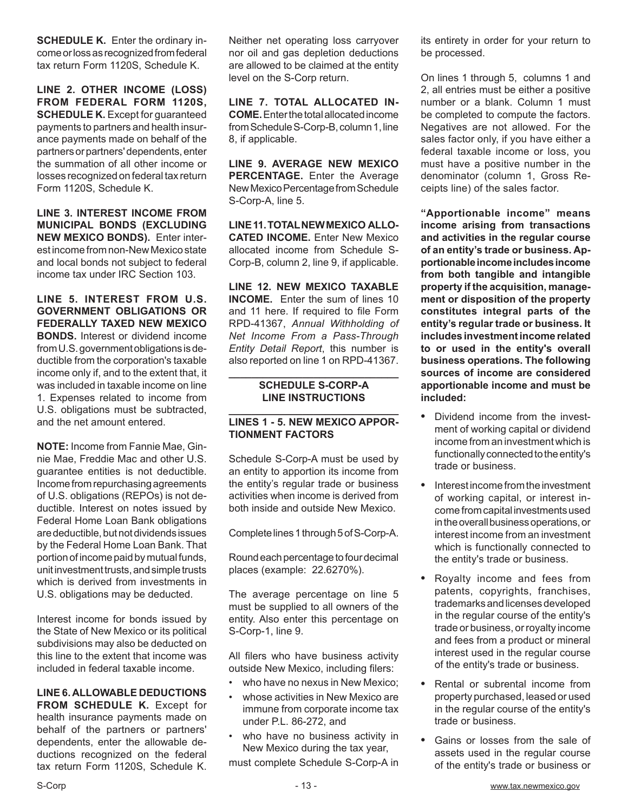**SCHEDULE K.** Enter the ordinary income or loss as recognized from federal tax return Form 1120S, Schedule K.

**LINE 2. OTHER INCOME (LOSS) FROM FEDERAL FORM 1120S, SCHEDULE K.** Except for guaranteed payments to partners and health insurance payments made on behalf of the partners or partners' dependents, enter the summation of all other income or losses recognized on federal tax return Form 1120S, Schedule K.

**LINE 3. INTEREST INCOME FROM MUNICIPAL BONDS (EXCLUDING NEW MEXICO BONDS).** Enter interest income from non-New Mexico state and local bonds not subject to federal income tax under IRC Section 103.

**LINE 5. INTEREST FROM U.S. GOVERNMENT OBLIGATIONS OR FEDERALLY TAXED NEW MEXICO BONDS.** Interest or dividend income from U.S. government obligations is deductible from the corporation's taxable income only if, and to the extent that, it was included in taxable income on line 1. Expenses related to income from U.S. obligations must be subtracted, and the net amount entered.

**NOTE:** Income from Fannie Mae, Ginnie Mae, Freddie Mac and other U.S. guarantee entities is not deductible. Income from repurchasing agreements of U.S. obligations (REPOs) is not deductible. Interest on notes issued by Federal Home Loan Bank obligations are deductible, but not dividends issues by the Federal Home Loan Bank. That portion of income paid by mutual funds, unit investment trusts, and simple trusts which is derived from investments in U.S. obligations may be deducted.

Interest income for bonds issued by the State of New Mexico or its political subdivisions may also be deducted on this line to the extent that income was included in federal taxable income.

**LINE 6. ALLOWABLE DEDUCTIONS FROM SCHEDULE K.** Except for health insurance payments made on behalf of the partners or partners' dependents, enter the allowable deductions recognized on the federal tax return Form 1120S, Schedule K. Neither net operating loss carryover nor oil and gas depletion deductions are allowed to be claimed at the entity level on the S-Corp return.

**LINE 7. TOTAL ALLOCATED IN-COME.** Enter the total allocated income from Schedule S-Corp-B, column 1, line 8, if applicable.

**LINE 9. AVERAGE NEW MEXICO PERCENTAGE.** Enter the Average New Mexico Percentage from Schedule S-Corp-A, line 5.

**LINE 11. TOTAL NEW MEXICO ALLO-CATED INCOME.** Enter New Mexico allocated income from Schedule S-Corp-B, column 2, line 9, if applicable.

**LINE 12. NEW MEXICO TAXABLE INCOME.** Enter the sum of lines 10 and 11 here. If required to file Form RPD-41367, *Annual Withholding of Net Income From a Pass-Through Entity Detail Report*, this number is also reported on line 1 on RPD-41367.

#### **\_\_\_\_\_\_\_\_\_\_\_\_\_\_\_\_\_\_\_\_\_\_\_\_\_\_\_\_\_\_ SCHEDULE S-CORP-A LINE INSTRUCTIONS**

#### **\_\_\_\_\_\_\_\_\_\_\_\_\_\_\_\_\_\_\_\_\_\_\_\_\_\_\_\_\_\_ LINES 1 - 5. NEW MEXICO APPOR-TIONMENT FACTORS**

Schedule S-Corp-A must be used by an entity to apportion its income from the entity's regular trade or business activities when income is derived from both inside and outside New Mexico.

Complete lines 1 through 5 of S-Corp-A.

Round each percentage to fourdecimal places (example: 22.6270%).

The average percentage on line 5 must be supplied to all owners of the entity. Also enter this percentage on S-Corp-1, line 9.

All filers who have business activity outside New Mexico, including filers:

- who have no nexus in New Mexico:
- whose activities in New Mexico are immune from corporate income tax under P.L. 86-272, and
- who have no business activity in New Mexico during the tax year,

must complete Schedule S-Corp-A in

its entirety in order for your return to be processed.

On lines 1 through 5, columns 1 and 2, all entries must be either a positive number or a blank. Column 1 must be completed to compute the factors. Negatives are not allowed. For the sales factor only, if you have either a federal taxable income or loss, you must have a positive number in the denominator (column 1, Gross Receipts line) of the sales factor.

**"Apportionable income" means income arising from transactions and activities in the regular course of an entity's trade or business. Apportionable income includes income from both tangible and intangible property if the acquisition, management or disposition of the property constitutes integral parts of the entity's regular trade or business. It includes investment income related to or used in the entity's overall business operations. The following sources of income are considered apportionable income and must be included:**

- **•**  Dividend income from the investment of working capital or dividend income from an investment which is functionally connected to the entity's trade or business.
- **•**  Interest income from the investment of working capital, or interest income from capital investments used in the overall business operations, or interest income from an investment which is functionally connected to the entity's trade or business.
- **•**  Royalty income and fees from patents, copyrights, franchises, trademarks and licenses developed in the regular course of the entity's trade or business, or royalty income and fees from a product or mineral interest used in the regular course of the entity's trade or business.
- **•**  Rental or subrental income from property purchased, leased or used in the regular course of the entity's trade or business.
- **•**  Gains or losses from the sale of assets used in the regular course of the entity's trade or business or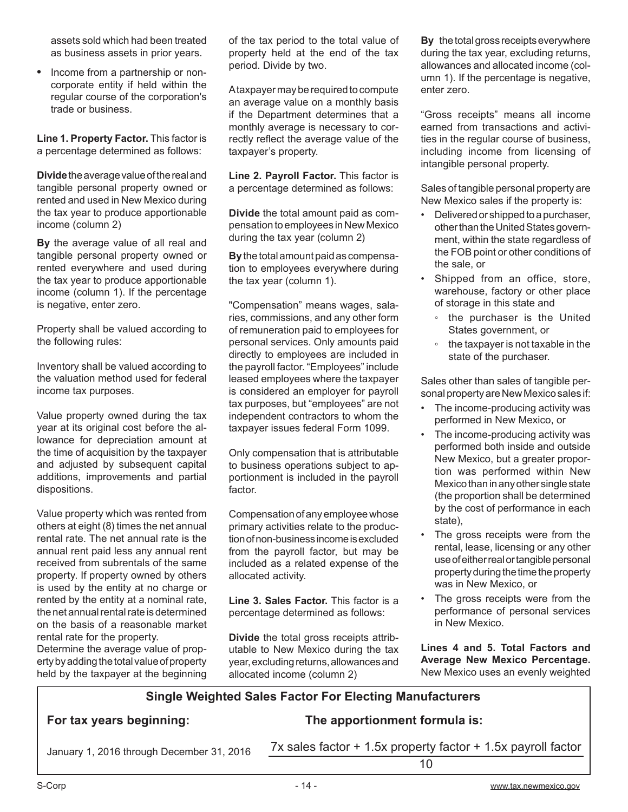assets sold which had been treated as business assets in prior years.

• Income from a partnership or noncorporate entity if held within the regular course of the corporation's trade or business.

**Line 1. Property Factor.** This factor is a percentage determined as follows:

**Divide** the average value of the real and tangible personal property owned or rented and used in New Mexico during the tax year to produce apportionable income (column 2)

**By** the average value of all real and tangible personal property owned or rented everywhere and used during the tax year to produce apportionable income (column 1). If the percentage is negative, enter zero.

Property shall be valued according to the following rules:

Inventory shall be valued according to the valuation method used for federal income tax purposes.

Value property owned during the tax year at its original cost before the allowance for depreciation amount at the time of acquisition by the taxpayer and adjusted by subsequent capital additions, improvements and partial dispositions.

Value property which was rented from others at eight (8) times the net annual rental rate. The net annual rate is the annual rent paid less any annual rent received from subrentals of the same property. If property owned by others is used by the entity at no charge or rented by the entity at a nominal rate, the net annual rental rate is determined on the basis of a reasonable market rental rate for the property.

Determine the average value of property by adding the total value of property held by the taxpayer at the beginning

of the tax period to the total value of property held at the end of the tax period. Divide by two.

A taxpayer may be required to compute an average value on a monthly basis if the Department determines that a monthly average is necessary to correctly reflect the average value of the taxpayer's property.

**Line 2. Payroll Factor.** This factor is a percentage determined as follows:

**Divide** the total amount paid as compensation to employees in New Mexico during the tax year (column 2)

**By** the total amount paid as compensation to employees everywhere during the tax year (column 1).

"Compensation" means wages, salaries, commissions, and any other form of remuneration paid to employees for personal services. Only amounts paid directly to employees are included in the payroll factor. "Employees" include leased employees where the taxpayer is considered an employer for payroll tax purposes, but "employees" are not independent contractors to whom the taxpayer issues federal Form 1099.

Only compensation that is attributable to business operations subject to apportionment is included in the payroll factor.

Compensation of any employee whose primary activities relate to the production of non-business income is excluded from the payroll factor, but may be included as a related expense of the allocated activity.

**Line 3. Sales Factor.** This factor is a percentage determined as follows:

**Divide** the total gross receipts attributable to New Mexico during the tax year, excluding returns, allowances and allocated income (column 2)

**By** the total gross receipts everywhere during the tax year, excluding returns, allowances and allocated income (column 1). If the percentage is negative, enter zero.

"Gross receipts" means all income earned from transactions and activities in the regular course of business, including income from licensing of intangible personal property.

Sales of tangible personal property are New Mexico sales if the property is:

- Delivered or shipped to a purchaser, other than the United States government, within the state regardless of the FOB point or other conditions of the sale, or
- Shipped from an office, store, warehouse, factory or other place of storage in this state and
	- the purchaser is the United States government, or
	- the taxpayer is not taxable in the state of the purchaser.

Sales other than sales of tangible personal property are New Mexico sales if:

- The income-producing activity was performed in New Mexico, or
- The income-producing activity was performed both inside and outside New Mexico, but a greater proportion was performed within New Mexico than in any other single state (the proportion shall be determined by the cost of performance in each state),
- The gross receipts were from the rental, lease, licensing or any other use of either real or tangible personal property during the time the property was in New Mexico, or
- The gross receipts were from the performance of personal services in New Mexico.

**Lines 4 and 5. Total Factors and Average New Mexico Percentage.** New Mexico uses an evenly weighted

### **Single Weighted Sales Factor For Electing Manufacturers**

### **For tax years beginning: The apportionment formula is:**

January 1, 2016 through December 31, 2016 7x sales factor + 1.5x property factor + 1.5x payroll factor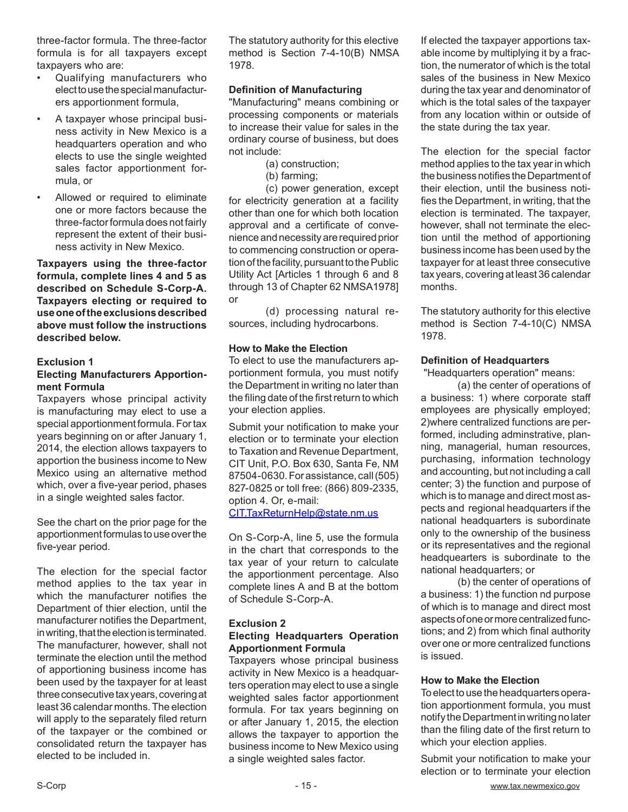three-factor formula. The three-factor formula is for all taxpayers except taxpayers who are:

- Qualifying manufacturers who elect to use the special manufacturers apportionment formula,
- A taxpayer whose principal business activity in New Mexico is a headquarters operation and who elects to use the single weighted sales factor apportionment formula, or
- Allowed or required to eliminate one or more factors because the three-factor formula does not fairly represent the extent of their business activity in New Mexico.

**Taxpayers using the three-factor formula, complete lines 4 and 5 as described on Schedule S-Corp-A. Taxpayers electing or required to use one of the exclusions described above must follow the instructions described below.**

#### **Exclusion 1**

#### **Electing Manufacturers Apportionment Formula**

Taxpayers whose principal activity is manufacturing may elect to use a special apportionment formula. For tax years beginning on or after January 1, 2014, the election allows taxpayers to apportion the business income to New Mexico using an alternative method which, over a five-year period, phases in a single weighted sales factor.

See the chart on the prior page for the apportionment formulas to use over the five-year period.

The election for the special factor method applies to the tax year in which the manufacturer notifies the Department of thier election, until the manufacturer notifies the Department, in writing, that the election is terminated. The manufacturer, however, shall not terminate the election until the method of apportioning business income has been used by the taxpayer for at least three consecutive tax years, covering at least 36 calendar months. The election will apply to the separately filed return of the taxpayer or the combined or consolidated return the taxpayer has elected to be included in.

The statutory authority for this elective method is Section 7-4-10(B) NMSA 1978.

#### **Definition of Manufacturing**

"Manufacturing" means combining or processing components or materials to increase their value for sales in the ordinary course of business, but does not include:

- (a) construction;
- (b) farming;

(c) power generation, except for electricity generation at a facility other than one for which both location approval and a certificate of convenience and necessity are required prior to commencing construction or operation of the facility, pursuant to the Public Utility Act [Articles 1 through 6 and 8 through 13 of Chapter 62 NMSA1978] or

(d) processing natural resources, including hydrocarbons.

#### **How to Make the Election**

To elect to use the manufacturers apportionment formula, you must notify the Department in writing no later than the filing date of the first return to which your election applies.

Submit your notification to make your election or to terminate your election to Taxation and Revenue Department, CIT Unit, P.O. Box 630, Santa Fe, NM 87504-0630. For assistance, call (505) 827-0825 or toll free: (866) 809-2335, option 4. Or, e-mail:

CIT.TaxReturnHelp@state.nm.us

On S-Corp-A, line 5, use the formula in the chart that corresponds to the tax year of your return to calculate the apportionment percentage. Also complete lines A and B at the bottom of Schedule S-Corp-A.

#### **Exclusion 2 Electing Headquarters Operation Apportionment Formula**

Taxpayers whose principal business activity in New Mexico is a headquarters operation may elect to use a single weighted sales factor apportionment formula. For tax years beginning on or after January 1, 2015, the election allows the taxpayer to apportion the business income to New Mexico using a single weighted sales factor.

If elected the taxpayer apportions taxable income by multiplying it by a fraction, the numerator of which is the total sales of the business in New Mexico during the tax year and denominator of which is the total sales of the taxpayer from any location within or outside of the state during the tax year.

The election for the special factor method applies to the tax year in which the business notifies the Department of their election, until the business notifies the Department, in writing, that the election is terminated. The taxpayer, however, shall not terminate the election until the method of apportioning business income has been used by the taxpayer for at least three consecutive tax years, covering at least 36 calendar months.

The statutory authority for this elective method is Section 7-4-10(C) NMSA 1978.

#### **Definition of Headquarters**

"Headquarters operation" means:

(a) the center of operations of a business: 1) where corporate staff employees are physically employed; 2)where centralized functions are performed, including adminstrative, planning, managerial, human resources, purchasing, information technology and accounting, but not including a call center; 3) the function and purpose of which is to manage and direct most aspects and regional headquarters if the national headquarters is subordinate only to the ownership of the business or its representatives and the regional headquearters is subordinate to the national headquarters; or

(b) the center of operations of a business: 1) the function nd purpose of which is to manage and direct most aspects of one or more centralized functions; and 2) from which final authority over one or more centralized functions is issued.

#### **How to Make the Election**

To elect to use the headquarters operation apportionment formula, you must notify the Department in writing no later than the filing date of the first return to which your election applies.

Submit your notification to make your election or to terminate your election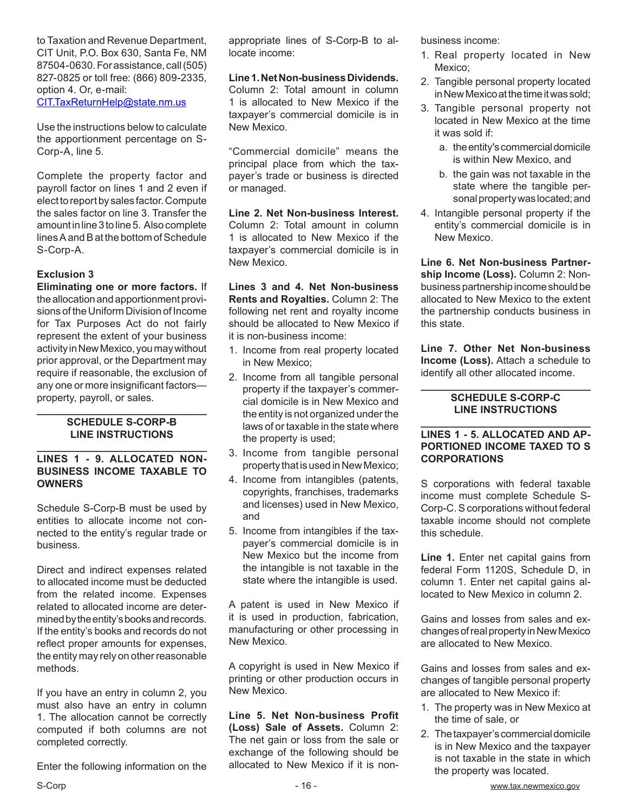to Taxation and Revenue Department, CIT Unit, P.O. Box 630, Santa Fe, NM 87504-0630. For assistance, call (505) 827-0825 or toll free: (866) 809-2335, option 4. Or, e-mail: CIT.TaxReturnHelp@state.nm.us

Use the instructions below to calculate the apportionment percentage on S-Corp-A, line 5.

Complete the property factor and payroll factor on lines 1 and 2 even if elect to report by sales factor. Compute the sales factor on line 3. Transfer the amount in line 3 to line 5. Also complete lines A and B at the bottom of Schedule S-Corp-A.

#### **Exclusion 3**

**Eliminating one or more factors.** If the allocation and apportionment provisions of the Uniform Division of Income for Tax Purposes Act do not fairly represent the extent of your business activity in New Mexico, you may without prior approval, or the Department may require if reasonable, the exclusion of any one or more insignificant factors property, payroll, or sales.

#### **\_\_\_\_\_\_\_\_\_\_\_\_\_\_\_\_\_\_\_\_\_\_\_\_\_\_\_\_\_\_ SCHEDULE S-CORP-B LINE INSTRUCTIONS \_\_\_\_\_\_\_\_\_\_\_\_\_\_\_\_\_\_\_\_\_\_\_\_\_\_\_\_\_\_**

#### **LINES 1 - 9. ALLOCATED NON-BUSINESS INCOME TAXABLE TO OWNERS**

Schedule S-Corp-B must be used by entities to allocate income not connected to the entity's regular trade or business.

Direct and indirect expenses related to allocated income must be deducted from the related income. Expenses related to allocated income are determined by the entity's books and records. If the entity's books and records do not reflect proper amounts for expenses, the entity may rely on other reasonable methods.

If you have an entry in column 2, you must also have an entry in column 1. The allocation cannot be correctly computed if both columns are not completed correctly.

Enter the following information on the

appropriate lines of S-Corp-B to allocate income:

#### **Line 1. Net Non-business Dividends.**

Column 2: Total amount in column 1 is allocated to New Mexico if the taxpayer's commercial domicile is in New Mexico.

"Commercial domicile" means the principal place from which the taxpayer's trade or business is directed or managed.

**Line 2. Net Non-business Interest.**  Column 2: Total amount in column 1 is allocated to New Mexico if the taxpayer's commercial domicile is in New Mexico.

**Lines 3 and 4. Net Non-business Rents and Royalties.** Column 2: The following net rent and royalty income should be allocated to New Mexico if it is non-business income:

- 1. Income from real property located in New Mexico;
- 2. Income from all tangible personal property if the taxpayer's commercial domicile is in New Mexico and the entity is not organized under the laws of or taxable in the state where the property is used;
- 3. Income from tangible personal property that is used in New Mexico;
- 4. Income from intangibles (patents, copyrights, franchises, trademarks and licenses) used in New Mexico, and
- 5. Income from intangibles if the taxpayer's commercial domicile is in New Mexico but the income from the intangible is not taxable in the state where the intangible is used.

A patent is used in New Mexico if it is used in production, fabrication, manufacturing or other processing in New Mexico.

A copyright is used in New Mexico if printing or other production occurs in New Mexico.

**Line 5. Net Non-business Profit (Loss) Sale of Assets.** Column 2: The net gain or loss from the sale or exchange of the following should be allocated to New Mexico if it is nonbusiness income:

- 1. Real property located in New Mexico;
- 2. Tangible personal property located in New Mexico at the time it was sold;
- 3. Tangible personal property not located in New Mexico at the time it was sold if:
	- a. the entity's commercial domicile is within New Mexico, and
	- b. the gain was not taxable in the state where the tangible personal property was located; and
- 4. Intangible personal property if the entity's commercial domicile is in New Mexico.

**Line 6. Net Non-business Partnership Income (Loss).** Column 2: Nonbusiness partnership income should be allocated to New Mexico to the extent the partnership conducts business in this state.

**Line 7. Other Net Non-business Income (Loss).** Attach a schedule to identify all other allocated income.

#### **\_\_\_\_\_\_\_\_\_\_\_\_\_\_\_\_\_\_\_\_\_\_\_\_\_\_\_\_\_\_ SCHEDULE S-CORP-C LINE INSTRUCTIONS**

#### **\_\_\_\_\_\_\_\_\_\_\_\_\_\_\_\_\_\_\_\_\_\_\_\_\_\_\_\_\_\_ LINES 1 - 5. ALLOCATED AND AP-PORTIONED INCOME TAXED TO S CORPORATIONS**

S corporations with federal taxable income must complete Schedule S-Corp-C. S corporations without federal taxable income should not complete this schedule.

**Line 1.** Enter net capital gains from federal Form 1120S, Schedule D, in column 1. Enter net capital gains allocated to New Mexico in column 2.

Gains and losses from sales and exchanges of real property in New Mexico are allocated to New Mexico.

Gains and losses from sales and exchanges of tangible personal property are allocated to New Mexico if:

- 1. The property was in New Mexico at the time of sale, or
- 2. The taxpayer's commercial domicile is in New Mexico and the taxpayer is not taxable in the state in which the property was located.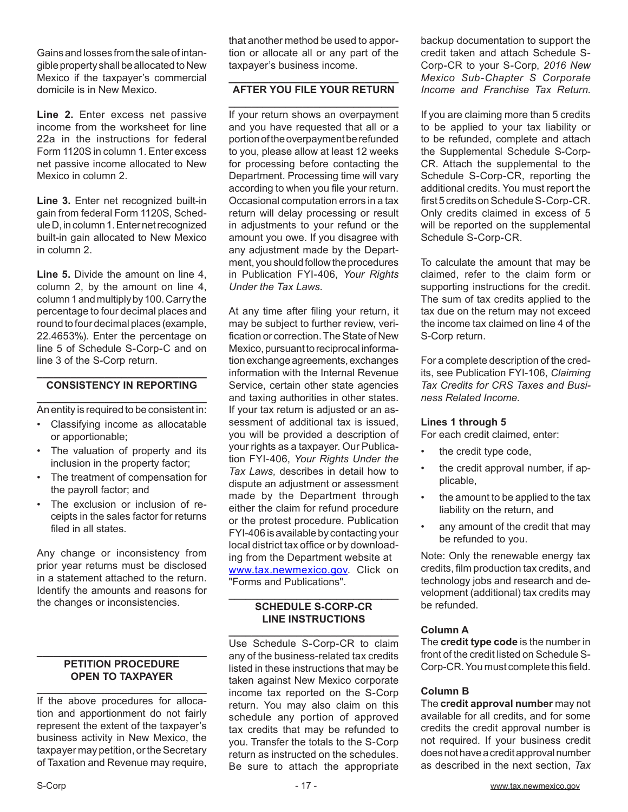Gains and losses from the sale of intangible property shall be allocated to New Mexico if the taxpayer's commercial domicile is in New Mexico.

Line 2. Enter excess net passive income from the worksheet for line 22a in the instructions for federal Form 1120S in column 1. Enter excess net passive income allocated to New Mexico in column 2.

**Line 3.** Enter net recognized built-in gain from federal Form 1120S, Schedule D, in column 1. Enter net recognized built-in gain allocated to New Mexico in column 2.

**Line 5.** Divide the amount on line 4, column 2, by the amount on line 4, column 1 and multiply by 100. Carry the percentage to four decimal places and round to four decimal places (example, 22.4653%). Enter the percentage on line 5 of Schedule S-Corp-C and on line 3 of the S-Corp return.

#### **\_\_\_\_\_\_\_\_\_\_\_\_\_\_\_\_\_\_\_\_\_\_\_\_\_\_\_\_\_\_ CONSISTENCY IN REPORTING**

**\_\_\_\_\_\_\_\_\_\_\_\_\_\_\_\_\_\_\_\_\_\_\_\_\_\_\_\_\_\_** An entity is required to be consistent in:

- Classifying income as allocatable or apportionable;
- The valuation of property and its inclusion in the property factor;
- The treatment of compensation for the payroll factor; and
- The exclusion or inclusion of receipts in the sales factor for returns filed in all states.

Any change or inconsistency from prior year returns must be disclosed in a statement attached to the return. Identify the amounts and reasons for the changes or inconsistencies.

#### **\_\_\_\_\_\_\_\_\_\_\_\_\_\_\_\_\_\_\_\_\_\_\_\_\_\_\_\_\_\_ PETITION PROCEDURE OPEN TO TAXPAYER**

**\_\_\_\_\_\_\_\_\_\_\_\_\_\_\_\_\_\_\_\_\_\_\_\_\_\_\_\_\_\_** If the above procedures for allocation and apportionment do not fairly represent the extent of the taxpayer's business activity in New Mexico, the taxpayer may petition, or the Secretary of Taxation and Revenue may require,

that another method be used to apportion or allocate all or any part of the taxpayer's business income.

#### **\_\_\_\_\_\_\_\_\_\_\_\_\_\_\_\_\_\_\_\_\_\_\_\_\_\_\_\_\_\_ AFTER YOU FILE YOUR RETURN \_\_\_\_\_\_\_\_\_\_\_\_\_\_\_\_\_\_\_\_\_\_\_\_\_\_\_\_\_\_**

If your return shows an overpayment and you have requested that all or a portion of the overpayment be refunded to you, please allow at least 12 weeks for processing before contacting the Department. Processing time will vary according to when you file your return. Occasional computation errors in a tax return will delay processing or result in adjustments to your refund or the amount you owe. If you disagree with any adjustment made by the Department, you should follow the procedures in Publication FYI-406, *Your Rights Under the Tax Laws*.

At any time after filing your return, it may be subject to further review, verification or correction. The State of New Mexico, pursuant to reciprocal information exchange agreements, exchanges information with the Internal Revenue Service, certain other state agencies and taxing authorities in other states. If your tax return is adjusted or an assessment of additional tax is issued, you will be provided a description of your rights as a taxpayer. Our Publication FYI-406, *Your Rights Under the Tax Laws,* describes in detail how to dispute an adjustment or assessment made by the Department through either the claim for refund procedure or the protest procedure. Publication FYI-406 is available by contacting your local district tax office or by downloading from the Department website at www.tax.newmexico.gov. Click on "Forms and Publications".

#### **\_\_\_\_\_\_\_\_\_\_\_\_\_\_\_\_\_\_\_\_\_\_\_\_\_\_\_\_\_\_ SCHEDULE S-CORP-CR LINE INSTRUCTIONS**

**\_\_\_\_\_\_\_\_\_\_\_\_\_\_\_\_\_\_\_\_\_\_\_\_\_\_\_\_\_\_** Use Schedule S-Corp-CR to claim any of the business-related tax credits listed in these instructions that may be taken against New Mexico corporate income tax reported on the S-Corp return. You may also claim on this schedule any portion of approved tax credits that may be refunded to you. Transfer the totals to the S-Corp return as instructed on the schedules. Be sure to attach the appropriate

backup documentation to support the credit taken and attach Schedule S-Corp-CR to your S-Corp, *2016 New Mexico Sub-Chapter S Corporate Income and Franchise Tax Return*.

If you are claiming more than 5 credits to be applied to your tax liability or to be refunded, complete and attach the Supplemental Schedule S-Corp-CR. Attach the supplemental to the Schedule S-Corp-CR, reporting the additional credits. You must report the first 5 credits on Schedule S-Corp-CR. Only credits claimed in excess of 5 will be reported on the supplemental Schedule S-Corp-CR.

To calculate the amount that may be claimed, refer to the claim form or supporting instructions for the credit. The sum of tax credits applied to the tax due on the return may not exceed the income tax claimed on line 4 of the S-Corp return.

For a complete description of the credits, see Publication FYI-106, *Claiming Tax Credits for CRS Taxes and Business Related Income.*

#### **Lines 1 through 5**

For each credit claimed, enter:

- the credit type code,
- the credit approval number, if applicable,
- the amount to be applied to the tax liability on the return, and
- any amount of the credit that may be refunded to you.

Note: Only the renewable energy tax credits, film production tax credits, and technology jobs and research and development (additional) tax credits may be refunded.

#### **Column A**

The **credit type code** is the number in front of the credit listed on Schedule S-Corp-CR. You must complete this field.

#### **Column B**

The **credit approval number** may not available for all credits, and for some credits the credit approval number is not required. If your business credit does not have a credit approval number as described in the next section, *Tax*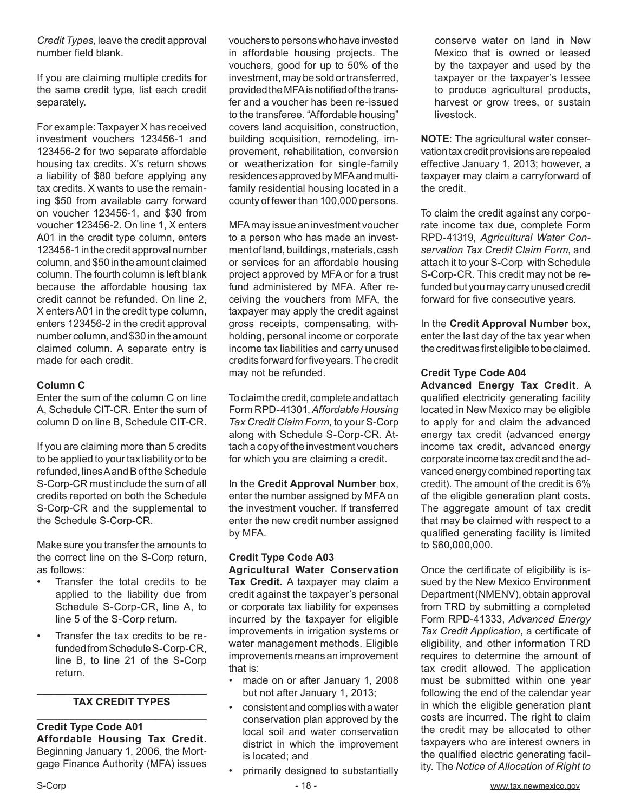*Credit Types,* leave the credit approval number field blank.

If you are claiming multiple credits for the same credit type, list each credit separately.

For example: Taxpayer X has received investment vouchers 123456-1 and 123456-2 for two separate affordable housing tax credits. X's return shows a liability of \$80 before applying any tax credits. X wants to use the remaining \$50 from available carry forward on voucher 123456-1, and \$30 from voucher 123456-2. On line 1, X enters A01 in the credit type column, enters 123456-1 in the credit approval number column, and \$50 in the amount claimed column. The fourth column is left blank because the affordable housing tax credit cannot be refunded. On line 2, X enters A01 in the credit type column, enters 123456-2 in the credit approval number column, and \$30 in the amount claimed column. A separate entry is made for each credit.

#### **Column C**

Enter the sum of the column C on line A, Schedule CIT-CR. Enter the sum of column D on line B, Schedule CIT-CR.

If you are claiming more than 5 credits to be applied to your tax liability or to be refunded, lines A and B of the Schedule S-Corp-CR must include the sum of all credits reported on both the Schedule S-Corp-CR and the supplemental to the Schedule S-Corp-CR.

Make sure you transfer the amounts to the correct line on the S-Corp return, as follows:

- Transfer the total credits to be applied to the liability due from Schedule S-Corp-CR, line A, to line 5 of the S-Corp return.
- Transfer the tax credits to be refunded from Schedule S-Corp-CR, line B, to line 21 of the S-Corp return.

#### **\_\_\_\_\_\_\_\_\_\_\_\_\_\_\_\_\_\_\_\_\_\_\_\_\_\_\_\_\_\_ TAX CREDIT TYPES \_\_\_\_\_\_\_\_\_\_\_\_\_\_\_\_\_\_\_\_\_\_\_\_\_\_\_\_\_\_**

**Credit Type Code A01 Affordable Housing Tax Credit.**  Beginning January 1, 2006, the Mortgage Finance Authority (MFA) issues

vouchers to persons who have invested in affordable housing projects. The vouchers, good for up to 50% of the investment, may be sold or transferred, provided the MFA is notified of the transfer and a voucher has been re-issued to the transferee. "Affordable housing" covers land acquisition, construction, building acquisition, remodeling, improvement, rehabilitation, conversion or weatherization for single-family residences approved by MFA and multifamily residential housing located in a county of fewer than 100,000 persons.

MFA may issue an investment voucher to a person who has made an investment of land, buildings, materials, cash or services for an affordable housing project approved by MFA or for a trust fund administered by MFA. After receiving the vouchers from MFA, the taxpayer may apply the credit against gross receipts, compensating, withholding, personal income or corporate income tax liabilities and carry unused credits forward for five years. The credit may not be refunded.

To claim the credit, complete and attach Form RPD-41301, *Affordable Housing Tax Credit Claim Form,* to your S-Corp along with Schedule S-Corp-CR. Attach a copy of the investment vouchers for which you are claiming a credit.

In the **Credit Approval Number** box, enter the number assigned by MFA on the investment voucher. If transferred enter the new credit number assigned by MFA.

#### **Credit Type Code A03 Agricultural Water Conservation**

**Tax Credit.** A taxpayer may claim a credit against the taxpayer's personal or corporate tax liability for expenses incurred by the taxpayer for eligible improvements in irrigation systems or water management methods. Eligible improvements means an improvement that is:

- made on or after January 1, 2008 but not after January 1, 2013;
- consistent and complies with a water conservation plan approved by the local soil and water conservation district in which the improvement is located; and
- primarily designed to substantially

conserve water on land in New Mexico that is owned or leased by the taxpayer and used by the taxpayer or the taxpayer's lessee to produce agricultural products, harvest or grow trees, or sustain livestock.

**NOTE**: The agricultural water conservation tax credit provisions are repealed effective January 1, 2013; however, a taxpayer may claim a carryforward of the credit.

To claim the credit against any corporate income tax due, complete Form RPD-41319, *Agricultural Water Conservation Tax Credit Claim Form*, and attach it to your S-Corp with Schedule S-Corp-CR. This credit may not be refunded but you may carry unused credit forward for five consecutive years.

In the **Credit Approval Number** box, enter the last day of the tax year when the credit was first eligible to be claimed.

### **Credit Type Code A04**

**Advanced Energy Tax Credit**. A qualified electricity generating facility located in New Mexico may be eligible to apply for and claim the advanced energy tax credit (advanced energy income tax credit, advanced energy corporate income tax credit and the advanced energy combined reporting tax credit). The amount of the credit is 6% of the eligible generation plant costs. The aggregate amount of tax credit that may be claimed with respect to a qualified generating facility is limited to \$60,000,000.

Once the certificate of eligibility is issued by the New Mexico Environment Department (NMENV), obtain approval from TRD by submitting a completed Form RPD-41333, *Advanced Energy Tax Credit Application*, a certificate of eligibility, and other information TRD requires to determine the amount of tax credit allowed. The application must be submitted within one year following the end of the calendar year in which the eligible generation plant costs are incurred. The right to claim the credit may be allocated to other taxpayers who are interest owners in the qualified electric generating facility. The *Notice of Allocation of Right to*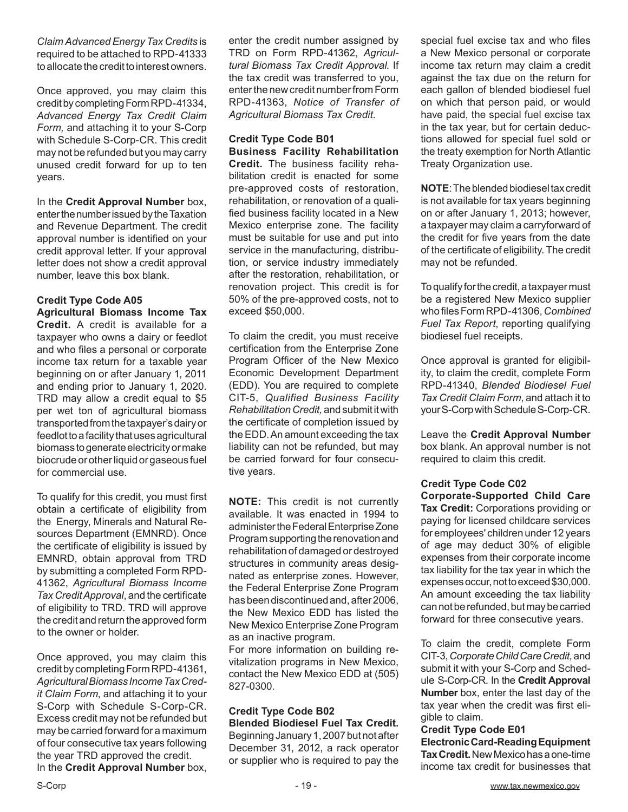*Claim Advanced Energy Tax Credits* is required to be attached to RPD-41333 to allocate the credit to interest owners.

Once approved, you may claim this credit by completing Form RPD-41334, *Advanced Energy Tax Credit Claim Form,* and attaching it to your S-Corp with Schedule S-Corp-CR. This credit may not be refunded but you may carry unused credit forward for up to ten years.

In the **Credit Approval Number** box, enter the number issued by the Taxation and Revenue Department. The credit approval number is identified on your credit approval letter. If your approval letter does not show a credit approval number, leave this box blank.

#### **Credit Type Code A05 Agricultural Biomass Income Tax**

**Credit.** A credit is available for a taxpayer who owns a dairy or feedlot and who files a personal or corporate income tax return for a taxable year beginning on or after January 1, 2011 and ending prior to January 1, 2020. TRD may allow a credit equal to \$5 per wet ton of agricultural biomass transported from the taxpayer's dairy or feedlot to a facility that uses agricultural biomass to generate electricity or make biocrude or other liquid or gaseous fuel for commercial use.

To qualify for this credit, you must first obtain a certificate of eligibility from the Energy, Minerals and Natural Resources Department (EMNRD). Once the certificate of eligibility is issued by EMNRD, obtain approval from TRD by submitting a completed Form RPD-41362, *Agricultural Biomass Income Tax Credit Approval*, and the certificate of eligibility to TRD. TRD will approve the credit and return the approved form to the owner or holder.

Once approved, you may claim this credit by completing Form RPD-41361, *Agricultural Biomass Income Tax Credit Claim Form*, and attaching it to your S-Corp with Schedule S-Corp-CR. Excess credit may not be refunded but may be carried forward for a maximum of four consecutive tax years following the year TRD approved the credit. In the **Credit Approval Number** box,

enter the credit number assigned by TRD on Form RPD-41362, *Agricultural Biomass Tax Credit Approval*. If the tax credit was transferred to you, enter the new credit number from Form RPD-41363, *Notice of Transfer of Agricultural Biomass Tax Credit*.

### **Credit Type Code B01**

**Business Facility Rehabilitation Credit.** The business facility rehabilitation credit is enacted for some pre-approved costs of restoration, rehabilitation, or renovation of a qualified business facility located in a New Mexico enterprise zone. The facility must be suitable for use and put into service in the manufacturing, distribution, or service industry immediately after the restoration, rehabilitation, or renovation project. This credit is for 50% of the pre-approved costs, not to exceed \$50,000.

To claim the credit, you must receive certification from the Enterprise Zone Program Officer of the New Mexico Economic Development Department (EDD). You are required to complete CIT-5, *Qualified Business Facility Rehabilitation Credit,* and submit it with the certificate of completion issued by the EDD. An amount exceeding the tax liability can not be refunded, but may be carried forward for four consecutive years.

**NOTE:** This credit is not currently available. It was enacted in 1994 to administer the Federal Enterprise Zone Program supporting the renovation and rehabilitation of damaged or destroyed structures in community areas designated as enterprise zones. However, the Federal Enterprise Zone Program has been discontinued and, after 2006, the New Mexico EDD has listed the New Mexico Enterprise Zone Program as an inactive program.

For more information on building revitalization programs in New Mexico, contact the New Mexico EDD at (505) 827-0300.

### **Credit Type Code B02**

**Blended Biodiesel Fuel Tax Credit.**  Beginning January 1, 2007 but not after December 31, 2012, a rack operator or supplier who is required to pay the special fuel excise tax and who files a New Mexico personal or corporate income tax return may claim a credit against the tax due on the return for each gallon of blended biodiesel fuel on which that person paid, or would have paid, the special fuel excise tax in the tax year, but for certain deductions allowed for special fuel sold or the treaty exemption for North Atlantic Treaty Organization use.

**NOTE**: The blended biodiesel tax credit is not available for tax years beginning on or after January 1, 2013; however, a taxpayer may claim a carryforward of the credit for five years from the date of the certificate of eligibility. The credit may not be refunded.

To qualify for the credit, a taxpayer must be a registered New Mexico supplier who files Form RPD-41306, *Combined Fuel Tax Report*, reporting qualifying biodiesel fuel receipts.

Once approval is granted for eligibility, to claim the credit, complete Form RPD-41340, *Blended Biodiesel Fuel Tax Credit Claim Form*, and attach it to your S-Corp with Schedule S-Corp-CR.

Leave the **Credit Approval Number**  box blank. An approval number is not required to claim this credit.

#### **Credit Type Code C02**

**Corporate-Supported Child Care Tax Credit:** Corporations providing or paying for licensed childcare services for employees' children under 12 years of age may deduct 30% of eligible expenses from their corporate income tax liability for the tax year in which the expenses occur, not to exceed \$30,000. An amount exceeding the tax liability can not be refunded, but may be carried forward for three consecutive years.

To claim the credit, complete Form CIT-3, *Corporate Child Care Credit,* and submit it with your S-Corp and Schedule S-Corp-CR. In the **Credit Approval Number** box, enter the last day of the tax year when the credit was first eligible to claim.

#### **Credit Type Code E01**

**Electronic Card-Reading Equipment Tax Credit.** New Mexico has a one-time income tax credit for businesses that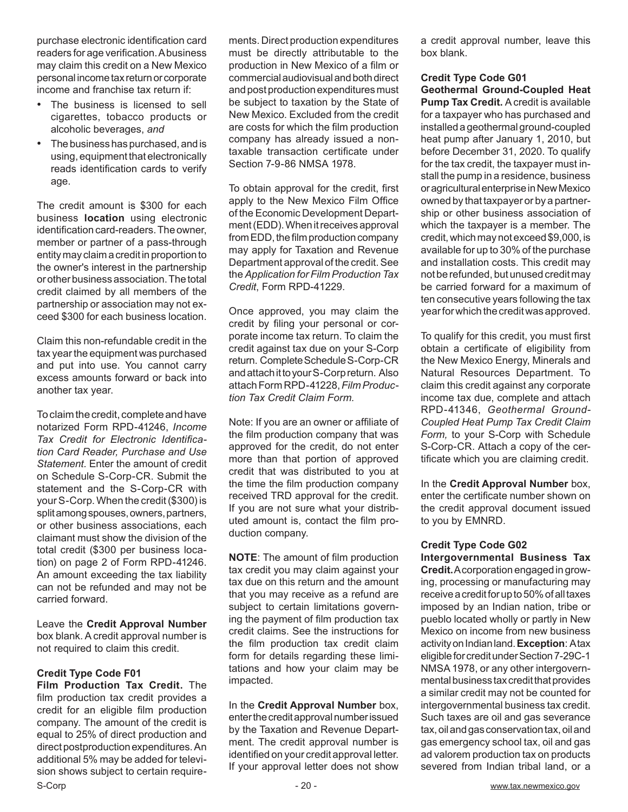purchase electronic identification card readers for age verification. A business may claim this credit on a New Mexico personal income tax return or corporate income and franchise tax return if:

- The business is licensed to sell cigarettes, tobacco products or alcoholic beverages, *and*
- • The business has purchased, and is using, equipment that electronically reads identification cards to verify age.

The credit amount is \$300 for each business **location** using electronic identification card-readers. The owner, member or partner of a pass-through entity may claim a credit in proportion to the owner's interest in the partnership or other business association. The total credit claimed by all members of the partnership or association may not exceed \$300 for each business location.

Claim this non-refundable credit in the tax year the equipment was purchased and put into use. You cannot carry excess amounts forward or back into another tax year.

To claim the credit, complete and have notarized Form RPD-41246, *Income Tax Credit for Electronic Identification Card Reader, Purchase and Use Statement.* Enter the amount of credit on Schedule S-Corp-CR. Submit the statement and the S-Corp-CR with your S-Corp. When the credit (\$300) is split among spouses, owners, partners, or other business associations, each claimant must show the division of the total credit (\$300 per business location) on page 2 of Form RPD-41246. An amount exceeding the tax liability can not be refunded and may not be carried forward.

Leave the **Credit Approval Number** box blank. A credit approval number is not required to claim this credit.

#### **Credit Type Code F01**

S-Corp **- 20 - WWW.tax.newmexico.gov** - 20 - WWW.tax.newmexico.gov **Film Production Tax Credit.** The film production tax credit provides a credit for an eligible film production company. The amount of the credit is equal to 25% of direct production and direct postproduction expenditures. An additional 5% may be added for television shows subject to certain require-

ments. Direct production expenditures must be directly attributable to the production in New Mexico of a film or commercial audiovisual and both direct and post production expenditures must be subject to taxation by the State of New Mexico. Excluded from the credit are costs for which the film production company has already issued a nontaxable transaction certificate under Section 7-9-86 NMSA 1978.

To obtain approval for the credit, first apply to the New Mexico Film Office of the Economic Development Department (EDD). When it receives approval from EDD, the film production company may apply for Taxation and Revenue Department approval of the credit. See the *Application for Film Production Tax Credit*, Form RPD-41229.

Once approved, you may claim the credit by filing your personal or corporate income tax return. To claim the credit against tax due on your S-Corp return. Complete Schedule S-Corp-CR and attach it to your S-Corp return. Also attach Form RPD-41228, *Film Production Tax Credit Claim Form.*

Note: If you are an owner or affiliate of the film production company that was approved for the credit, do not enter more than that portion of approved credit that was distributed to you at the time the film production company received TRD approval for the credit. If you are not sure what your distributed amount is, contact the film production company.

**NOTE**: The amount of film production tax credit you may claim against your tax due on this return and the amount that you may receive as a refund are subject to certain limitations governing the payment of film production tax credit claims. See the instructions for the film production tax credit claim form for details regarding these limitations and how your claim may be impacted.

In the **Credit Approval Number** box, enter the credit approval number issued by the Taxation and Revenue Department. The credit approval number is identified on your credit approval letter. If your approval letter does not show a credit approval number, leave this box blank.

### **Credit Type Code G01**

**Geothermal Ground-Coupled Heat Pump Tax Credit.** A credit is available for a taxpayer who has purchased and installed a geothermal ground-coupled heat pump after January 1, 2010, but before December 31, 2020. To qualify for the tax credit, the taxpayer must install the pump in a residence, business or agricultural enterprise in New Mexico owned by that taxpayer or by a partnership or other business association of which the taxpayer is a member. The credit, which may not exceed \$9,000, is available for up to 30% of the purchase and installation costs. This credit may not be refunded, but unused credit may be carried forward for a maximum of ten consecutive years following the tax year for which the credit was approved.

To qualify for this credit, you must first obtain a certificate of eligibility from the New Mexico Energy, Minerals and Natural Resources Department. To claim this credit against any corporate income tax due, complete and attach RPD-41346, *Geothermal Ground-Coupled Heat Pump Tax Credit Claim Form,* to your S-Corp with Schedule S-Corp-CR. Attach a copy of the certificate which you are claiming credit.

In the **Credit Approval Number** box, enter the certificate number shown on the credit approval document issued to you by EMNRD.

## **Credit Type Code G02**

**Intergovernmental Business Tax Credit.** A corporation engaged in growing, processing or manufacturing may receive a credit for up to 50% of all taxes imposed by an Indian nation, tribe or pueblo located wholly or partly in New Mexico on income from new business activity on Indian land. **Exception**: A tax eligible for credit under Section 7-29C-1 NMSA 1978, or any other intergovernmental business tax credit that provides a similar credit may not be counted for intergovernmental business tax credit. Such taxes are oil and gas severance tax, oil and gas conservation tax, oil and gas emergency school tax, oil and gas ad valorem production tax on products severed from Indian tribal land, or a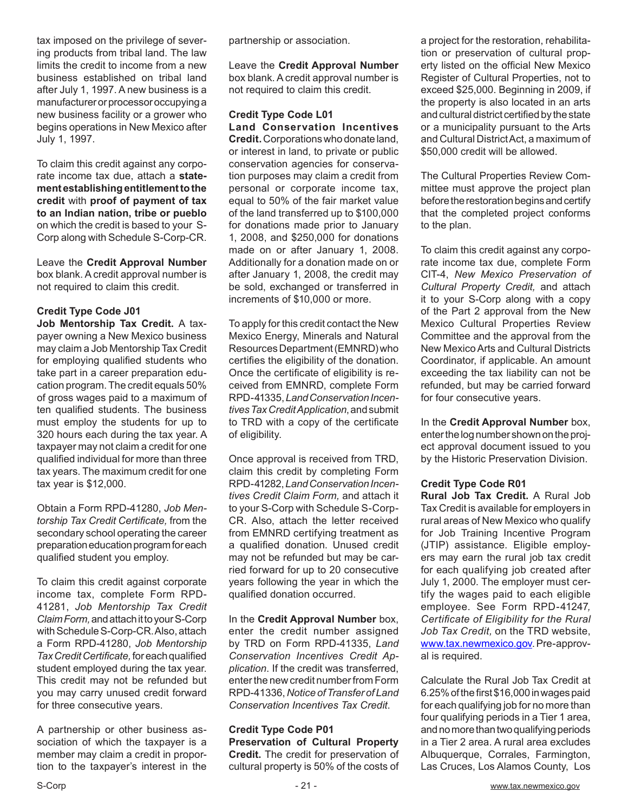tax imposed on the privilege of severing products from tribal land. The law limits the credit to income from a new business established on tribal land after July 1, 1997. A new business is a manufacturer or processor occupying a new business facility or a grower who begins operations in New Mexico after July 1, 1997.

To claim this credit against any corporate income tax due, attach a **statement establishing entitlement to the credit** with **proof of payment of tax to an Indian nation, tribe or pueblo** on which the credit is based to your S-Corp along with Schedule S-Corp-CR.

Leave the **Credit Approval Number**  box blank. A credit approval number is not required to claim this credit.

#### **Credit Type Code J01**

**Job Mentorship Tax Credit.** A taxpayer owning a New Mexico business may claim a Job Mentorship Tax Credit for employing qualified students who take part in a career preparation education program. The credit equals 50% of gross wages paid to a maximum of ten qualified students. The business must employ the students for up to 320 hours each during the tax year. A taxpayer may not claim a credit for one qualified individual for more than three tax years. The maximum credit for one tax year is \$12,000.

Obtain a Form RPD-41280, *Job Mentorship Tax Credit Certificate,* from the secondary school operating the career preparation education program for each qualified student you employ.

To claim this credit against corporate income tax, complete Form RPD-41281, *Job Mentorship Tax Credit Claim Form,* and attach it to your S-Corp with Schedule S-Corp-CR. Also, attach a Form RPD-41280, *Job Mentorship Tax Credit Certificate,* for each qualified student employed during the tax year. This credit may not be refunded but you may carry unused credit forward for three consecutive years.

A partnership or other business association of which the taxpayer is a member may claim a credit in proportion to the taxpayer's interest in the partnership or association.

Leave the **Credit Approval Number** box blank. A credit approval number is not required to claim this credit.

#### **Credit Type Code L01 Land Conservation Incentives Credit.** Corporations who donate land,

or interest in land, to private or public conservation agencies for conservation purposes may claim a credit from personal or corporate income tax, equal to 50% of the fair market value of the land transferred up to \$100,000 for donations made prior to January 1, 2008, and \$250,000 for donations made on or after January 1, 2008. Additionally for a donation made on or after January 1, 2008, the credit may be sold, exchanged or transferred in increments of \$10,000 or more.

To apply for this credit contact the New Mexico Energy, Minerals and Natural Resources Department (EMNRD) who certifies the eligibility of the donation. Once the certificate of eligibility is received from EMNRD, complete Form RPD-41335, *Land Conservation Incentives Tax Credit Application*, and submit to TRD with a copy of the certificate of eligibility.

Once approval is received from TRD, claim this credit by completing Form RPD-41282, *Land Conservation Incentives Credit Claim Form,* and attach it to your S-Corp with Schedule S-Corp-CR. Also, attach the letter received from EMNRD certifying treatment as a qualified donation. Unused credit may not be refunded but may be carried forward for up to 20 consecutive years following the year in which the qualified donation occurred.

In the **Credit Approval Number** box, enter the credit number assigned by TRD on Form RPD-41335, *Land Conservation Incentives Credit Application*. If the credit was transferred, enter the new credit number from Form RPD-41336, *Notice of Transfer of Land Conservation Incentives Tax Credit*.

#### **Credit Type Code P01 Preservation of Cultural Property**

**Credit.** The credit for preservation of cultural property is 50% of the costs of a project for the restoration, rehabilitation or preservation of cultural property listed on the official New Mexico Register of Cultural Properties, not to exceed \$25,000. Beginning in 2009, if the property is also located in an arts and cultural district certified by the state or a municipality pursuant to the Arts and Cultural District Act, a maximum of \$50,000 credit will be allowed.

The Cultural Properties Review Committee must approve the project plan before the restoration begins and certify that the completed project conforms to the plan.

To claim this credit against any corporate income tax due, complete Form CIT-4, *New Mexico Preservation of Cultural Property Credit,* and attach it to your S-Corp along with a copy of the Part 2 approval from the New Mexico Cultural Properties Review Committee and the approval from the New Mexico Arts and Cultural Districts Coordinator, if applicable. An amount exceeding the tax liability can not be refunded, but may be carried forward for four consecutive years.

In the **Credit Approval Number** box, enter the log number shown on the project approval document issued to you by the Historic Preservation Division.

#### **Credit Type Code R01**

**Rural Job Tax Credit.** A Rural Job Tax Credit is available for employers in rural areas of New Mexico who qualify for Job Training Incentive Program (JTIP) assistance. Eligible employers may earn the rural job tax credit for each qualifying job created after July 1, 2000. The employer must certify the wages paid to each eligible employee. See Form RPD-41247*, Certificate of Eligibility for the Rural Job Tax Credit,* on the TRD website, www.tax.newmexico.gov. Pre-approval is required.

Calculate the Rural Job Tax Credit at 6.25% of the first \$16,000 in wages paid for each qualifying job for no more than four qualifying periods in a Tier 1 area, and no more than two qualifying periods in a Tier 2 area. A rural area excludes Albuquerque, Corrales, Farmington, Las Cruces, Los Alamos County, Los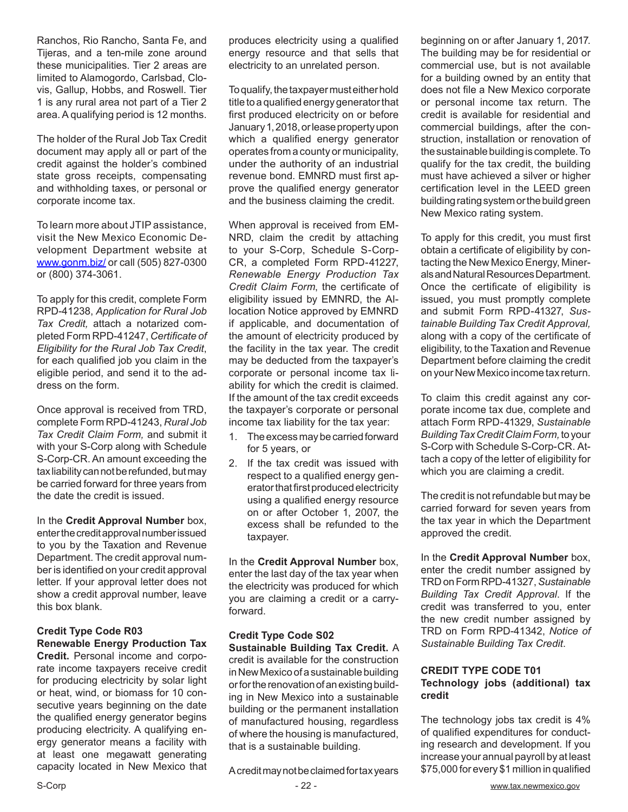Ranchos, Rio Rancho, Santa Fe, and Tijeras, and a ten-mile zone around these municipalities. Tier 2 areas are limited to Alamogordo, Carlsbad, Clovis, Gallup, Hobbs, and Roswell. Tier 1 is any rural area not part of a Tier 2 area. A qualifying period is 12 months.

The holder of the Rural Job Tax Credit document may apply all or part of the credit against the holder's combined state gross receipts, compensating and withholding taxes, or personal or corporate income tax.

To learn more about JTIP assistance, visit the New Mexico Economic Development Department website at www.gonm.biz/ or call (505) 827-0300 or (800) 374-3061.

To apply for this credit, complete Form RPD-41238, *Application for Rural Job Tax Credit,* attach a notarized completed Form RPD-41247, *Certificate of Eligibility for the Rural Job Tax Credit*, for each qualified job you claim in the eligible period, and send it to the address on the form.

Once approval is received from TRD, complete Form RPD-41243, *Rural Job Tax Credit Claim Form,* and submit it with your S-Corp along with Schedule S-Corp-CR. An amount exceeding the tax liability can not be refunded, but may be carried forward for three years from the date the credit is issued.

In the **Credit Approval Number** box, enter the credit approval number issued to you by the Taxation and Revenue Department. The credit approval number is identified on your credit approval letter. If your approval letter does not show a credit approval number, leave this box blank.

#### **Credit Type Code R03 Renewable Energy Production Tax**

**Credit.** Personal income and corporate income taxpayers receive credit for producing electricity by solar light or heat, wind, or biomass for 10 consecutive years beginning on the date the qualified energy generator begins producing electricity. A qualifying energy generator means a facility with at least one megawatt generating capacity located in New Mexico that produces electricity using a qualified energy resource and that sells that electricity to an unrelated person.

To qualify, the taxpayer must either hold title to a qualified energy generator that first produced electricity on or before January 1, 2018, or lease property upon which a qualified energy generator operates from a county or municipality, under the authority of an industrial revenue bond. EMNRD must first approve the qualified energy generator and the business claiming the credit.

When approval is received from EM-NRD, claim the credit by attaching to your S-Corp, Schedule S-Corp-CR, a completed Form RPD-41227, *Renewable Energy Production Tax Credit Claim Form*, the certificate of eligibility issued by EMNRD, the Allocation Notice approved by EMNRD if applicable, and documentation of the amount of electricity produced by the facility in the tax year. The credit may be deducted from the taxpayer's corporate or personal income tax liability for which the credit is claimed. If the amount of the tax credit exceeds the taxpayer's corporate or personal income tax liability for the tax year:

- 1. The excess may be carried forward for 5 years, or
- 2. If the tax credit was issued with respect to a qualified energy generator that first produced electricity using a qualified energy resource on or after October 1, 2007, the excess shall be refunded to the taxpayer.

In the **Credit Approval Number** box, enter the last day of the tax year when the electricity was produced for which you are claiming a credit or a carryforward.

#### **Credit Type Code S02 Sustainable Building Tax Credit.** A credit is available for the construction in New Mexico of a sustainable building or for the renovation of an existing building in New Mexico into a sustainable building or the permanent installation of manufactured housing, regardless of where the housing is manufactured, that is a sustainable building.

A credit may not be claimed for tax years

beginning on or after January 1, 2017. The building may be for residential or commercial use, but is not available for a building owned by an entity that does not file a New Mexico corporate or personal income tax return. The credit is available for residential and commercial buildings, after the construction, installation or renovation of the sustainable building is complete. To qualify for the tax credit, the building must have achieved a silver or higher certification level in the LEED green building rating system or the build green New Mexico rating system.

To apply for this credit, you must first obtain a certificate of eligibility by contacting the New Mexico Energy, Minerals and Natural Resources Department. Once the certificate of eligibility is issued, you must promptly complete and submit Form RPD-41327, *Sustainable Building Tax Credit Approval,*  along with a copy of the certificate of eligibility*,* to the Taxation and Revenue Department before claiming the credit on your New Mexico income tax return.

To claim this credit against any corporate income tax due, complete and attach Form RPD-41329, *Sustainable Building Tax Credit Claim Form,* to your S-Corp with Schedule S-Corp-CR. Attach a copy of the letter of eligibility for which you are claiming a credit.

The credit is not refundable but may be carried forward for seven years from the tax year in which the Department approved the credit.

In the **Credit Approval Number** box, enter the credit number assigned by TRD on Form RPD-41327, *Sustainable Building Tax Credit Approval*. If the credit was transferred to you, enter the new credit number assigned by TRD on Form RPD-41342, *Notice of Sustainable Building Tax Credit*.

#### **CREDIT TYPE CODE T01 Technology jobs (additional) tax credit**

The technology jobs tax credit is 4% of qualified expenditures for conducting research and development. If you increase your annual payroll by at least \$75,000 for every \$1 million in qualified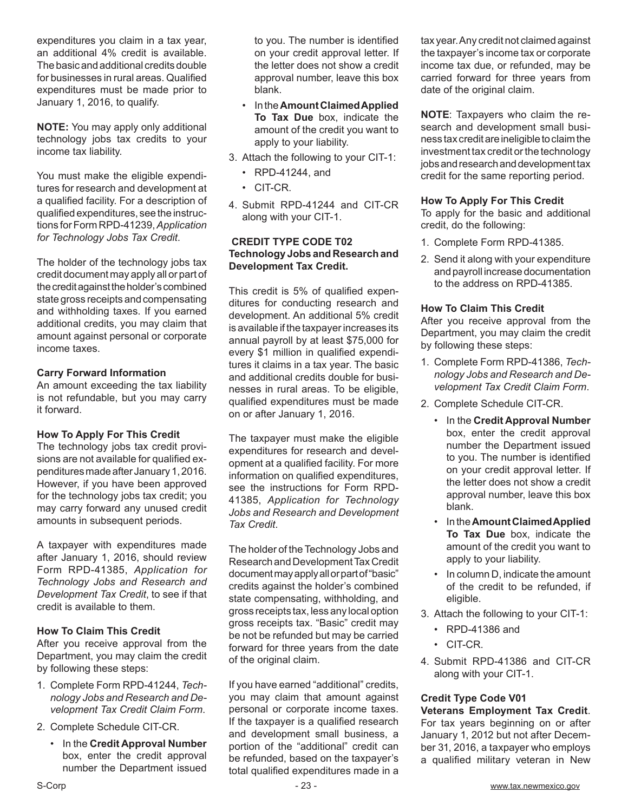expenditures you claim in a tax year, an additional 4% credit is available. The basic and additional credits double for businesses in rural areas. Qualified expenditures must be made prior to January 1, 2016, to qualify.

**NOTE:** You may apply only additional technology jobs tax credits to your income tax liability.

You must make the eligible expenditures for research and development at a qualified facility. For a description of qualified expenditures, see the instructions for Form RPD-41239, *Application for Technology Jobs Tax Credit*.

The holder of the technology jobs tax credit document may apply all or part of the credit against the holder's combined state gross receipts and compensating and withholding taxes. If you earned additional credits, you may claim that amount against personal or corporate income taxes.

#### **Carry Forward Information**

An amount exceeding the tax liability is not refundable, but you may carry it forward.

#### **How To Apply For This Credit**

The technology jobs tax credit provisions are not available for qualified expenditures made after January 1, 2016. However, if you have been approved for the technology jobs tax credit; you may carry forward any unused credit amounts in subsequent periods.

A taxpayer with expenditures made after January 1, 2016, should review Form RPD-41385, *Application for Technology Jobs and Research and Development Tax Credit*, to see if that credit is available to them.

#### **How To Claim This Credit**

After you receive approval from the Department, you may claim the credit by following these steps:

- 1. Complete Form RPD-41244, *Technology Jobs and Research and Development Tax Credit Claim Form*.
- 2. Complete Schedule CIT-CR.
	- In the **Credit Approval Number** box, enter the credit approval number the Department issued

to you. The number is identified on your credit approval letter. If the letter does not show a credit approval number, leave this box blank.

- In the **Amount Claimed Applied To Tax Due** box, indicate the amount of the credit you want to apply to your liability.
- 3. Attach the following to your CIT-1:
	- RPD-41244, and
	- CIT-CR.
- 4. Submit RPD-41244 and CIT-CR along with your CIT-1.

#### **CREDIT TYPE CODE T02 Technology Jobs and Research and Development Tax Credit.**

This credit is 5% of qualified expenditures for conducting research and development. An additional 5% credit is available if the taxpayer increases its annual payroll by at least \$75,000 for every \$1 million in qualified expenditures it claims in a tax year. The basic and additional credits double for businesses in rural areas. To be eligible, qualified expenditures must be made on or after January 1, 2016.

The taxpayer must make the eligible expenditures for research and development at a qualified facility. For more information on qualified expenditures, see the instructions for Form RPD-41385, *Application for Technology Jobs and Research and Development Tax Credit*.

The holder of the Technology Jobs and Research and Development Tax Credit document may apply all or part of "basic" credits against the holder's combined state compensating, withholding, and gross receipts tax, less any local option gross receipts tax. "Basic" credit may be not be refunded but may be carried forward for three years from the date of the original claim.

If you have earned "additional" credits, you may claim that amount against personal or corporate income taxes. If the taxpayer is a qualified research and development small business, a portion of the "additional" credit can be refunded, based on the taxpayer's total qualified expenditures made in a

tax year. Any credit not claimed against the taxpayer's income tax or corporate income tax due, or refunded, may be carried forward for three years from date of the original claim.

**NOTE**: Taxpayers who claim the research and development small business tax credit are ineligible to claim the investment tax credit or the technology jobs and research and development tax credit for the same reporting period.

#### **How To Apply For This Credit**

To apply for the basic and additional credit, do the following:

- 1. Complete Form RPD-41385.
- 2. Send it along with your expenditure and payroll increase documentation to the address on RPD-41385.

#### **How To Claim This Credit**

After you receive approval from the Department, you may claim the credit by following these steps:

- 1. Complete Form RPD-41386, *Technology Jobs and Research and Development Tax Credit Claim Form*.
- 2. Complete Schedule CIT-CR.
	- In the **Credit Approval Number** box, enter the credit approval number the Department issued to you. The number is identified on your credit approval letter. If the letter does not show a credit approval number, leave this box blank.
	- In the **Amount Claimed Applied To Tax Due** box, indicate the amount of the credit you want to apply to your liability.
	- In column D, indicate the amount of the credit to be refunded, if eligible.
- 3. Attach the following to your CIT-1:
	- RPD-41386 and
	- CIT-CR.
- 4. Submit RPD-41386 and CIT-CR along with your CIT-1.

#### **Credit Type Code V01**

**Veterans Employment Tax Credit**. For tax years beginning on or after January 1, 2012 but not after December 31, 2016, a taxpayer who employs a qualified military veteran in New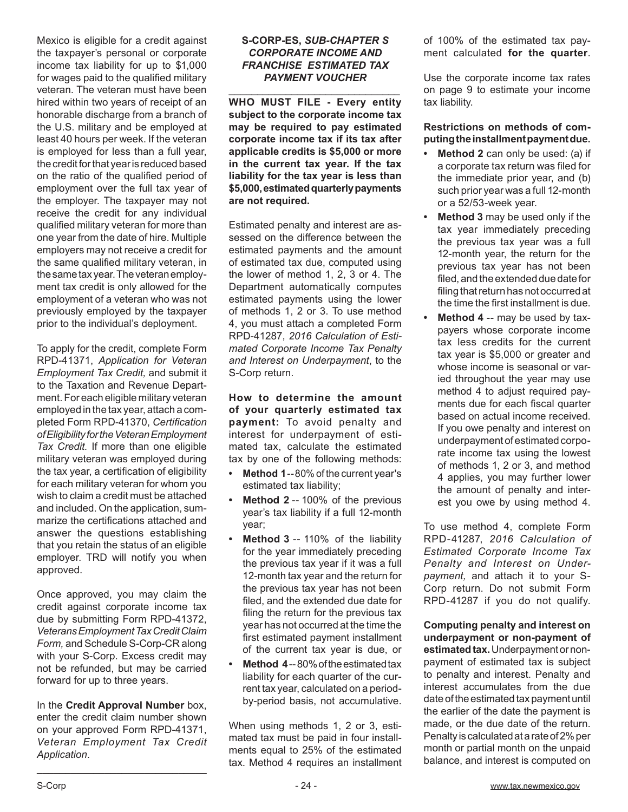Mexico is eligible for a credit against the taxpayer's personal or corporate income tax liability for up to \$1,000 for wages paid to the qualified military veteran. The veteran must have been hired within two years of receipt of an honorable discharge from a branch of the U.S. military and be employed at least 40 hours per week. If the veteran is employed for less than a full year, the credit for that year is reduced based on the ratio of the qualified period of employment over the full tax year of the employer. The taxpayer may not receive the credit for any individual qualified military veteran for more than one year from the date of hire. Multiple employers may not receive a credit for the same qualified military veteran, in the same tax year. The veteran employment tax credit is only allowed for the employment of a veteran who was not previously employed by the taxpayer prior to the individual's deployment.

To apply for the credit, complete Form RPD-41371, *Application for Veteran Employment Tax Credit,* and submit it to the Taxation and Revenue Department. For each eligible military veteran employed in the tax year, attach a completed Form RPD-41370, *Certification of Eligibility for the Veteran Employment Tax Credit.* If more than one eligible military veteran was employed during the tax year, a certification of eligibility for each military veteran for whom you wish to claim a credit must be attached and included. On the application, summarize the certifications attached and answer the questions establishing that you retain the status of an eligible employer. TRD will notify you when approved.

Once approved, you may claim the credit against corporate income tax due by submitting Form RPD-41372, *Veterans Employment Tax Credit Claim Form,* and Schedule S-Corp-CR along with your S-Corp. Excess credit may not be refunded, but may be carried forward for up to three years.

In the **Credit Approval Number** box, enter the credit claim number shown on your approved Form RPD-41371, *Veteran Employment Tax Credit Application*.

**\_\_\_\_\_\_\_\_\_\_\_\_\_\_\_\_\_\_\_\_\_\_\_\_\_\_\_\_\_\_**

#### **S-CORP-ES,** *SUB-CHAPTER S CORPORATE INCOME AND FRANCHISE ESTIMATED TAX PAYMENT VOUCHER*

\_\_\_\_\_\_\_\_\_\_\_\_\_\_\_\_\_\_\_\_\_\_\_\_\_\_\_\_\_\_ **WHO MUST FILE - Every entity subject to the corporate income tax may be required to pay estimated corporate income tax if its tax after applicable credits is \$5,000 or more in the current tax year. If the tax liability for the tax year is less than \$5,000, estimated quarterly payments are not required.** 

Estimated penalty and interest are assessed on the difference between the estimated payments and the amount of estimated tax due, computed using the lower of method 1, 2, 3 or 4. The Department automatically computes estimated payments using the lower of methods 1, 2 or 3. To use method 4, you must attach a completed Form RPD-41287, *2016 Calculation of Estimated Corporate Income Tax Penalty and Interest on Underpayment*, to the S-Corp return.

**How to determine the amount of your quarterly estimated tax payment:** To avoid penalty and interest for underpayment of estimated tax, calculate the estimated tax by one of the following methods:

- **• Method 1**--80% of the current year's estimated tax liability;
- **• Method 2** -- 100% of the previous year's tax liability if a full 12-month year;
- **• Method 3** -- 110% of the liability for the year immediately preceding the previous tax year if it was a full 12-month tax year and the return for the previous tax year has not been filed, and the extended due date for filing the return for the previous tax year has not occurred at the time the first estimated payment installment of the current tax year is due, or
- **• Method 4** -- 80% of the estimated tax liability for each quarter of the current tax year, calculated on a periodby-period basis, not accumulative.

When using methods 1, 2 or 3, estimated tax must be paid in four installments equal to 25% of the estimated tax. Method 4 requires an installment of 100% of the estimated tax payment calculated **for the quarter**.

Use the corporate income tax rates on page 9 to estimate your income tax liability.

#### **Restrictions on methods of computing the installment payment due.**

- **• Method 2** can only be used: (a) if a corporate tax return was filed for the immediate prior year, and (b) such prior year was a full 12-month or a 52/53-week year.
- **• Method 3** may be used only if the tax year immediately preceding the previous tax year was a full 12-month year, the return for the previous tax year has not been filed, and the extended due date for filing that return has not occurred at the time the first installment is due.
- **• Method 4** -- may be used by taxpayers whose corporate income tax less credits for the current tax year is \$5,000 or greater and whose income is seasonal or varied throughout the year may use method 4 to adjust required payments due for each fiscal quarter based on actual income received. If you owe penalty and interest on underpayment of estimated corporate income tax using the lowest of methods 1, 2 or 3, and method 4 applies, you may further lower the amount of penalty and interest you owe by using method 4.

To use method 4, complete Form RPD-41287, *2016 Calculation of Estimated Corporate Income Tax Penalty and Interest on Underpayment,* and attach it to your S-Corp return. Do not submit Form RPD-41287 if you do not qualify.

**Computing penalty and interest on underpayment or non-payment of estimated tax.** Underpayment or nonpayment of estimated tax is subject to penalty and interest. Penalty and interest accumulates from the due date of the estimated tax payment until the earlier of the date the payment is made, or the due date of the return. Penalty is calculated at a rate of 2% per month or partial month on the unpaid balance, and interest is computed on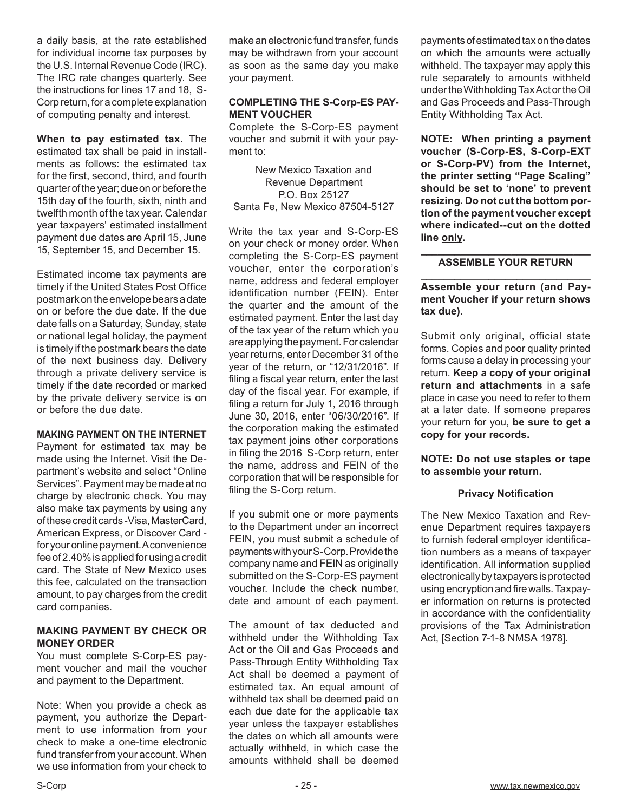a daily basis, at the rate established for individual income tax purposes by the U.S. Internal Revenue Code (IRC). The IRC rate changes quarterly. See the instructions for lines 17 and 18, S-Corp return, for a complete explanation of computing penalty and interest.

**When to pay estimated tax.** The estimated tax shall be paid in installments as follows: the estimated tax for the first, second, third, and fourth quarter of the year; due on or before the 15th day of the fourth, sixth, ninth and twelfth month of the tax year. Calendar year taxpayers' estimated installment payment due dates are April 15, June 15, September 15, and December 15.

Estimated income tax payments are timely if the United States Post Office postmark on the envelope bears a date on or before the due date. If the due date falls on a Saturday, Sunday, state or national legal holiday, the payment is timely if the postmark bears the date of the next business day. Delivery through a private delivery service is timely if the date recorded or marked by the private delivery service is on or before the due date.

#### **MAKING PAYMENT ON THE INTERNET**

Payment for estimated tax may be made using the Internet. Visit the Department's website and select "Online Services". Payment may be made at no charge by electronic check. You may also make tax payments by using any of these credit cards -Visa, MasterCard, American Express, or Discover Card for your online payment. A convenience fee of 2.40% is applied for using a credit card. The State of New Mexico uses this fee, calculated on the transaction amount, to pay charges from the credit card companies.

#### **MAKING PAYMENT BY CHECK OR MONEY ORDER**

You must complete S-Corp-ES payment voucher and mail the voucher and payment to the Department.

Note: When you provide a check as payment, you authorize the Department to use information from your check to make a one-time electronic fund transfer from your account. When we use information from your check to make an electronic fund transfer, funds may be withdrawn from your account as soon as the same day you make your payment.

#### **COMPLETING THE S-Corp-ES PAY-MENT VOUCHER**

Complete the S-Corp-ES payment voucher and submit it with your payment to:

New Mexico Taxation and Revenue Department P.O. Box 25127 Santa Fe, New Mexico 87504-5127

Write the tax year and S-Corp-ES on your check or money order. When completing the S-Corp-ES payment voucher, enter the corporation's name, address and federal employer identification number (FEIN). Enter the quarter and the amount of the estimated payment. Enter the last day of the tax year of the return which you are applying the payment. For calendar year returns, enter December 31 of the year of the return, or "12/31/2016". If filing a fiscal year return, enter the last day of the fiscal year. For example, if filing a return for July 1, 2016 through June 30, 2016, enter "06/30/2016". If the corporation making the estimated tax payment joins other corporations in filing the 2016 S-Corp return, enter the name, address and FEIN of the corporation that will be responsible for filing the S-Corp return.

If you submit one or more payments to the Department under an incorrect FEIN, you must submit a schedule of payments with your S-Corp. Provide the company name and FEIN as originally submitted on the S-Corp-ES payment voucher. Include the check number, date and amount of each payment.

The amount of tax deducted and withheld under the Withholding Tax Act or the Oil and Gas Proceeds and Pass-Through Entity Withholding Tax Act shall be deemed a payment of estimated tax. An equal amount of withheld tax shall be deemed paid on each due date for the applicable tax year unless the taxpayer establishes the dates on which all amounts were actually withheld, in which case the amounts withheld shall be deemed

payments of estimated tax on the dates on which the amounts were actually withheld. The taxpayer may apply this rule separately to amounts withheld under the Withholding Tax Act or the Oil and Gas Proceeds and Pass-Through Entity Withholding Tax Act.

**NOTE: When printing a payment voucher (S-Corp-ES, S-Corp-EXT or S-Corp-PV) from the Internet, the printer setting "Page Scaling" should be set to 'none' to prevent resizing. Do not cut the bottom portion of the payment voucher except where indicated--cut on the dotted line only.** 

#### **\_\_\_\_\_\_\_\_\_\_\_\_\_\_\_\_\_\_\_\_\_\_\_\_\_\_\_\_\_\_ ASSEMBLE YOUR RETURN \_\_\_\_\_\_\_\_\_\_\_\_\_\_\_\_\_\_\_\_\_\_\_\_\_\_\_\_\_\_**

#### **Assemble your return (and Payment Voucher if your return shows tax due)**.

Submit only original, official state forms. Copies and poor quality printed forms cause a delay in processing your return. **Keep a copy of your original return and attachments** in a safe place in case you need to refer to them at a later date. If someone prepares your return for you, **be sure to get a copy for your records.**

**NOTE: Do not use staples or tape to assemble your return.** 

#### **Privacy Notification**

The New Mexico Taxation and Revenue Department requires taxpayers to furnish federal employer identification numbers as a means of taxpayer identification. All information supplied electronically by taxpayers is protected using encryption and fire walls. Taxpayer information on returns is protected in accordance with the confidentiality provisions of the Tax Administration Act, [Section 7-1-8 NMSA 1978].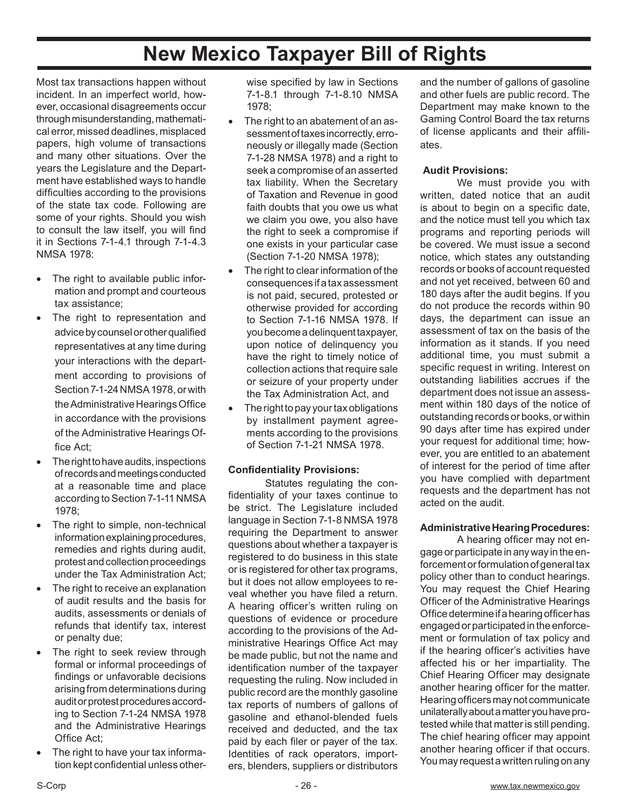# **New Mexico Taxpayer Bill of Rights**

Most tax transactions happen without incident. In an imperfect world, however, occasional disagreements occur through misunderstanding, mathematical error, missed deadlines, misplaced papers, high volume of transactions and many other situations. Over the years the Legislature and the Department have established ways to handle difficulties according to the provisions of the state tax code. Following are some of your rights. Should you wish to consult the law itself, you will find it in Sections 7-1-4.1 through 7-1-4.3 NMSA 1978:

- The right to available public information and prompt and courteous tax assistance;
- The right to representation and advice by counsel or other qualified representatives at any time during your interactions with the department according to provisions of Section 7-1-24 NMSA 1978, or with the Administrative Hearings Office in accordance with the provisions of the Administrative Hearings Office Act;
- The right to have audits, inspections of records and meetings conducted at a reasonable time and place according to Section 7-1-11 NMSA 1978;
- The right to simple, non-technical information explaining procedures, remedies and rights during audit, protest and collection proceedings under the Tax Administration Act;
- The right to receive an explanation of audit results and the basis for audits, assessments or denials of refunds that identify tax, interest or penalty due;
- The right to seek review through formal or informal proceedings of findings or unfavorable decisions arising from determinations during audit or protest procedures according to Section 7-1-24 NMSA 1978 and the Administrative Hearings Office Act;
- The right to have your tax information kept confidential unless other-

wise specified by law in Sections 7-1-8.1 through 7-1-8.10 NMSA 1978;

- The right to an abatement of an assessment of taxes incorrectly, erroneously or illegally made (Section 7-1-28 NMSA 1978) and a right to seek a compromise of an asserted tax liability. When the Secretary of Taxation and Revenue in good faith doubts that you owe us what we claim you owe, you also have the right to seek a compromise if one exists in your particular case (Section 7-1-20 NMSA 1978);
- The right to clear information of the consequences if a tax assessment is not paid, secured, protested or otherwise provided for according to Section 7-1-16 NMSA 1978. If you become a delinquent taxpayer, upon notice of delinquency you have the right to timely notice of collection actions that require sale or seizure of your property under the Tax Administration Act, and
- The right to pay your tax obligations by installment payment agreements according to the provisions of Section 7-1-21 NMSA 1978.

#### **Confidentiality Provisions:**

Statutes regulating the confidentiality of your taxes continue to be strict. The Legislature included language in Section 7-1-8 NMSA 1978 requiring the Department to answer questions about whether a taxpayer is registered to do business in this state or is registered for other tax programs, but it does not allow employees to reveal whether you have filed a return. A hearing officer's written ruling on questions of evidence or procedure according to the provisions of the Administrative Hearings Office Act may be made public, but not the name and identification number of the taxpayer requesting the ruling. Now included in public record are the monthly gasoline tax reports of numbers of gallons of gasoline and ethanol-blended fuels received and deducted, and the tax paid by each filer or payer of the tax. Identities of rack operators, importers, blenders, suppliers or distributors

and the number of gallons of gasoline and other fuels are public record. The Department may make known to the Gaming Control Board the tax returns of license applicants and their affiliates.

#### **Audit Provisions:**

We must provide you with written, dated notice that an audit is about to begin on a specific date, and the notice must tell you which tax programs and reporting periods will be covered. We must issue a second notice, which states any outstanding records or books of account requested and not yet received, between 60 and 180 days after the audit begins. If you do not produce the records within 90 days, the department can issue an assessment of tax on the basis of the information as it stands. If you need additional time, you must submit a specific request in writing. Interest on outstanding liabilities accrues if the department does not issue an assessment within 180 days of the notice of outstanding records or books, or within 90 days after time has expired under your request for additional time; however, you are entitled to an abatement of interest for the period of time after you have complied with department requests and the department has not acted on the audit.

#### **Administrative Hearing Procedures:**

A hearing officer may not engage or participate in any way in the enforcement or formulation of general tax policy other than to conduct hearings. You may request the Chief Hearing Officer of the Administrative Hearings Office determine if a hearing officer has engaged or participated in the enforcement or formulation of tax policy and if the hearing officer's activities have affected his or her impartiality. The Chief Hearing Officer may designate another hearing officer for the matter. Hearing officers may not communicate unilaterally about a matter you have protested while that matter is still pending. The chief hearing officer may appoint another hearing officer if that occurs. You may request a written ruling on any